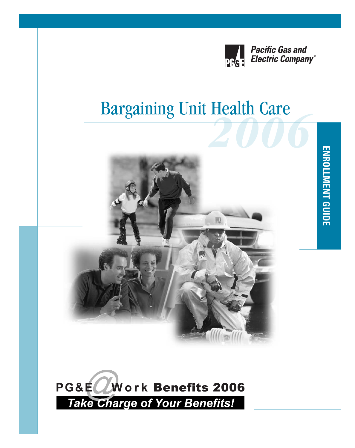

# **Bargaining Unit Health Care**



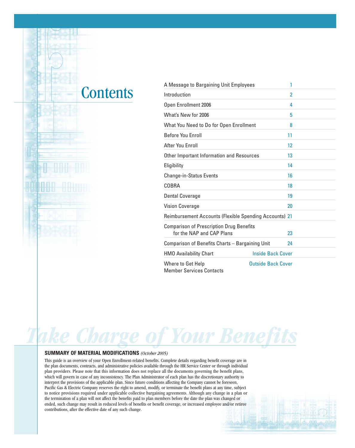### **Contents**

| A Message to Bargaining Unit Employees                                       | 1                         |
|------------------------------------------------------------------------------|---------------------------|
| Introduction                                                                 | $\overline{2}$            |
| Open Enrollment 2006                                                         | 4                         |
| What's New for 2006                                                          | 5                         |
| What You Need to Do for Open Enrollment                                      | 8                         |
| <b>Before You Enroll</b>                                                     | 11                        |
| After You Enroll                                                             | 12                        |
| Other Important Information and Resources                                    | 13                        |
| Eligibility                                                                  | 14                        |
| <b>Change-in-Status Events</b>                                               | 16                        |
| COBRA                                                                        | 18                        |
| <b>Dental Coverage</b>                                                       | 19                        |
| <b>Vision Coverage</b>                                                       | 20                        |
| Reimbursement Accounts (Flexible Spending Accounts) 21                       |                           |
| <b>Comparison of Prescription Drug Benefits</b><br>for the NAP and CAP Plans | 23                        |
| Comparison of Benefits Charts - Bargaining Unit                              | 24                        |
| <b>HMO Availability Chart</b>                                                | <b>Inside Back Cover</b>  |
| Where to Get Help<br><b>Member Services Contacts</b>                         | <b>Outside Back Cover</b> |

# *Take Charge of Your Benefits*

#### **SUMMARY OF MATERIAL MODIFICATIONS** *(October 2005)*

This guide is an overview of your Open Enrollment-related benefits. Complete details regarding benefit coverage are in the plan documents, contracts, and administrative policies available through the HR Service Center or through individual plan providers. Please note that this information does not replace all the documents governing the benefit plans, which will govern in case of any inconsistency. The Plan Administrator of each plan has the discretionary authority to interpret the provisions of the applicable plan. Since future conditions affecting the Company cannot be foreseen, Pacific Gas & Electric Company reserves the right to amend, modify, or terminate the benefit plans at any time, subject to notice provisions required under applicable collective bargaining agreements. Although any change in a plan or the termination of a plan will not affect the benefits paid to plan members before the date the plan was changed or ended, such change may result in reduced levels of benefits or benefit coverage, or increased employee and/or retiree contributions, after the effective date of any such change.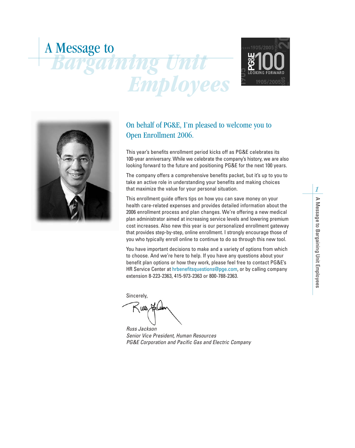# *Bargaining Unit Employees* A Message to





### On behalf of PG&E, I'm pleased to welcome you to Open Enrollment 2006.

This year's benefits enrollment period kicks off as PG&E celebrates its 100-year anniversary. While we celebrate the company's history, we are also looking forward to the future and positioning PG&E for the next 100 years.

The company offers a comprehensive benefits packet, but it's up to you to take an active role in understanding your benefits and making choices that maximize the value for your personal situation.

This enrollment guide offers tips on how you can save money on your health care-related expenses and provides detailed information about the 2006 enrollment process and plan changes. We're offering a new medical plan administrator aimed at increasing service levels and lowering premium cost increases. Also new this year is our personalized enrollment gateway that provides step-by-step, online enrollment. I strongly encourage those of you who typically enroll online to continue to do so through this new tool.

You have important decisions to make and a variety of options from which to choose. And we're here to help. If you have any questions about your benefit plan options or how they work, please feel free to contact PG&E's HR Service Center at hrbenefitsquestions@pge.com, or by calling company extension 8-223-2363, 415-973-2363 or 800-788-2363.

Sincerely,

**UND** 

*Russ Jackson Senior Vice President, Human Resources PG&E Corporation and Pacific Gas and Electric Company*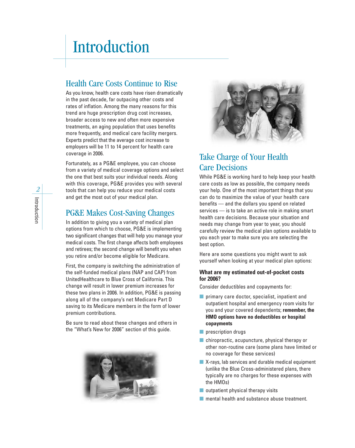## Introduction

### Health Care Costs Continue to Rise

As you know, health care costs have risen dramatically in the past decade, far outpacing other costs and rates of inflation. Among the many reasons for this trend are huge prescription drug cost increases, broader access to new and often more expensive treatments, an aging population that uses benefits more frequently, and medical care facility mergers. Experts predict that the average cost increase to employers will be 11 to 14 percent for health care coverage in 2006.

Fortunately, as a PG&E employee, you can choose from a variety of medical coverage options and select the one that best suits your individual needs. Along with this coverage, PG&E provides you with several tools that can help you reduce your medical costs and get the most out of your medical plan.

### PG&E Makes Cost-Saving Changes

In addition to giving you a variety of medical plan options from which to choose, PG&E is implementing two significant changes that will help you manage your medical costs. The first change affects both employees and retirees; the second change will benefit you when you retire and/or become eligible for Medicare.

First, the company is switching the administration of the self-funded medical plans (NAP and CAP) from UnitedHealthcare to Blue Cross of California. This change will result in lower premium increases for these two plans in 2006. In addition, PG&E is passing along all of the company's net Medicare Part D saving to its Medicare members in the form of lower premium contributions.

Be sure to read about these changes and others in the "What's New for 2006" section of this guide.





### Take Charge of Your Health Care Decisions

While PG&E is working hard to help keep your health care costs as low as possible, the company needs your help. One of the most important things that you can do to maximize the value of your health care benefits — and the dollars you spend on related services — is to take an active role in making smart health care decisions. Because your situation and needs may change from year to year, you should carefully review the medical plan options available to you each year to make sure you are selecting the best option.

Here are some questions you might want to ask yourself when looking at your medical plan options:

#### **What are my estimated out-of-pocket costs for 2006?**

Consider deductibles and copayments for:

- primary care doctor, specialist, inpatient and outpatient hospital and emergency room visits for you and your covered dependents; **remember, the HMO options have no deductibles or hospital copayments**
- prescription drugs
- chiropractic, acupuncture, physical therapy or other non-routine care (some plans have limited or no coverage for these services)
- X-rays, lab services and durable medical equipment (unlike the Blue Cross-administered plans, there typically are no charges for these expenses with the HMOs)
- $\blacksquare$  outpatient physical therapy visits
- mental health and substance abuse treatment.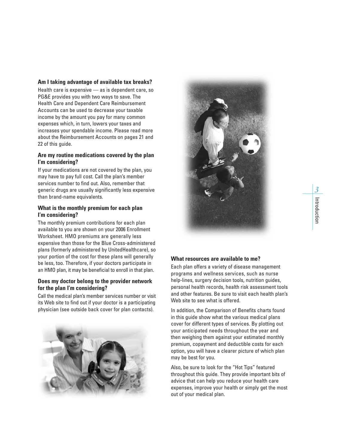#### **Am I taking advantage of available tax breaks?**

Health care is expensive — as is dependent care, so PG&E provides you with two ways to save. The Health Care and Dependent Care Reimbursement Accounts can be used to decrease your taxable income by the amount you pay for many common expenses which, in turn, lowers your taxes and increases your spendable income. Please read more about the Reimbursement Accounts on pages 21 and 22 of this guide.

#### **Are my routine medications covered by the plan I'm considering?**

If your medications are not covered by the plan, you may have to pay full cost. Call the plan's member services number to find out. Also, remember that generic drugs are usually significantly less expensive than brand-name equivalents.

#### **What is the monthly premium for each plan I'm considering?**

The monthly premium contributions for each plan available to you are shown on your 2006 Enrollment Worksheet. HMO premiums are generally less expensive than those for the Blue Cross-administered plans (formerly administered by UnitedHealthcare), so your portion of the cost for these plans will generally be less, too. Therefore, if your doctors participate in an HMO plan, it may be beneficial to enroll in that plan.

#### **Does my doctor belong to the provider network for the plan I'm considering?**

Call the medical plan's member services number or visit its Web site to find out if your doctor is a participating physician (see outside back cover for plan contacts).





#### **What resources are available to me?**

Each plan offers a variety of disease management programs and wellness services, such as nurse help-lines, surgery decision tools, nutrition guides, personal health records, health risk assessment tools and other features. Be sure to visit each health plan's Web site to see what is offered.

In addition, the Comparison of Benefits charts found in this guide show what the various medical plans cover for different types of services. By plotting out your anticipated needs throughout the year and then weighing them against your estimated monthly premium, copayment and deductible costs for each option, you will have a clearer picture of which plan may be best for you.

Also, be sure to look for the "Hot Tips" featured throughout this guide. They provide important bits of advice that can help you reduce your health care expenses, improve your health or simply get the most out of your medical plan.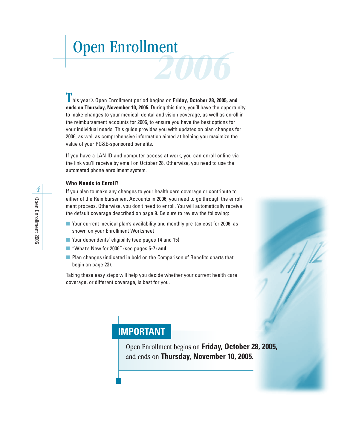# *<u>Open Enrollment</u>*

**L** his year's Open Enrollment period begins on **Friday, October 28, 2005, and ends on Thursday, November 10, 2005.** During this time, you'll have the opportunity to make changes to your medical, dental and vision coverage, as well as enroll in the reimbursement accounts for 2006, to ensure you have the best options for your individual needs. This guide provides you with updates on plan changes for 2006, as well as comprehensive information aimed at helping you maximize the value of your PG&E-sponsored benefits.

If you have a LAN ID and computer access at work, you can enroll online via the link you'll receive by email on October 28. Otherwise, you need to use the automated phone enrollment system.

#### **Who Needs to Enroll?**

If you plan to make any changes to your health care coverage or contribute to either of the Reimbursement Accounts in 2006, you need to go through the enrollment process. Otherwise, you don't need to enroll. You will automatically receive the default coverage described on page 9. Be sure to review the following:

- Your current medical plan's availability and monthly pre-tax cost for 2006, as shown on your Enrollment Worksheet
- Your dependents' eligibility (see pages 14 and 15)
- "What's New for 2006" (see pages 5-7) and
- Plan changes (indicated in bold on the Comparison of Benefits charts that begin on page 23).

Taking these easy steps will help you decide whether your current health care coverage, or different coverage, is best for you.



### **IMPORTANT**

Open Enrollment begins on **Friday, October 28, 2005,** and ends on **Thursday, November 10, 2005.**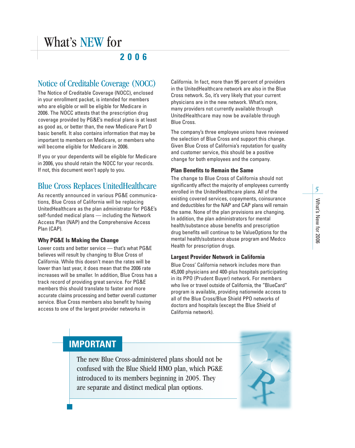### **2006**

### Notice of Creditable Coverage (NOCC)

The Notice of Creditable Coverage (NOCC), enclosed in your enrollment packet, is intended for members who are eligible or will be eligible for Medicare in 2006. The NOCC attests that the prescription drug coverage provided by PG&E's medical plans is at least as good as, or better than, the new Medicare Part D basic benefit. It also contains information that may be important to members on Medicare, or members who will become eligible for Medicare in 2006.

If you or your dependents will be eligible for Medicare in 2006, you should retain the NOCC for your records. If not, this document won't apply to you.

### Blue Cross Replaces UnitedHealthcare

As recently announced in various PG&E communications, Blue Cross of California will be replacing UnitedHealthcare as the plan administrator for PG&E's self-funded medical plans — including the Network Access Plan (NAP) and the Comprehensive Access Plan (CAP).

### **Why PG&E Is Making the Change**

Lower costs and better service — that's what PG&E believes will result by changing to Blue Cross of California. While this doesn't mean the rates will be lower than last year, it does mean that the 2006 rate increases will be smaller. In addition, Blue Cross has a track record of providing great service. For PG&E members this should translate to faster and more accurate claims processing and better overall customer service. Blue Cross members also benefit by having access to one of the largest provider networks in

California. In fact, more than 95 percent of providers in the UnitedHealthcare network are also in the Blue Cross network. So, it's very likely that your current physicians are in the new network. What's more, many providers not currently available through UnitedHealthcare may now be available through Blue Cross.

The company's three employee unions have reviewed the selection of Blue Cross and support this change. Given Blue Cross of California's reputation for quality and customer service, this should be a positive change for both employees and the company.

### **Plan Benefits to Remain the Same**

The change to Blue Cross of California should not significantly affect the majority of employees currently enrolled in the UnitedHealthcare plans. All of the existing covered services, copayments, coinsurance and deductibles for the NAP and CAP plans will remain the same. None of the plan provisions are changing. In addition, the plan administrators for mental health/substance abuse benefits and prescription drug benefits will continue to be ValueOptions for the mental health/substance abuse program and Medco Health for prescription drugs.

### **Largest Provider Network in California**

Blue Cross' California network includes more than 45,000 physicians and 400-plus hospitals participating in its PPO (Prudent Buyer) network. For members who live or travel outside of California, the "BlueCard" program is available, providing nationwide access to all of the Blue Cross/Blue Shield PPO networks of doctors and hospitals (except the Blue Shield of California network).

### **IMPORTANT**

The new Blue Cross-administered plans should not be confused with the Blue Shield HMO plan, which PG&E introduced to its members beginning in 2005. They are separate and distinct medical plan options.

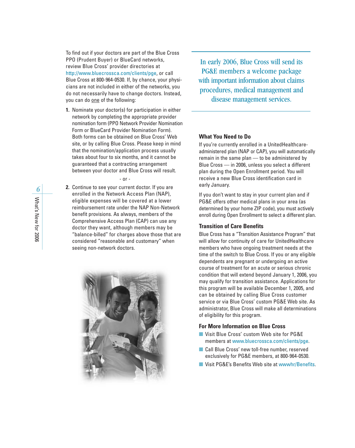To find out if your doctors are part of the Blue Cross PPO (Prudent Buyer) or BlueCard networks, review Blue Cross' provider directories at http://www.bluecrossca.com/clients/pge, or call Blue Cross at 800-964-0530. If, by chance, your physicians are not included in either of the networks, you do not necessarily have to change doctors. Instead, you can do one of the following:

**1.** Nominate your doctor(s) for participation in either network by completing the appropriate provider nomination form (PPO Network Provider Nomination Form or BlueCard Provider Nomination Form). Both forms can be obtained on Blue Cross' Web site, or by calling Blue Cross. Please keep in mind that the nomination/application process usually takes about four to six months, and it cannot be guaranteed that a contracting arrangement between your doctor and Blue Cross will result.

- or -

**2.** Continue to see your current doctor. If you are enrolled in the Network Access Plan (NAP), eligible expenses will be covered at a lower reimbursement rate under the NAP Non-Network benefit provisions. As always, members of the Comprehensive Access Plan (CAP) can use any doctor they want, although members may be "balance-billed" for charges above those that are considered "reasonable and customary" when seeing non-network doctors.



In early 2006, Blue Cross will send its PG&E members a welcome package with important information about claims procedures, medical management and disease management services.

#### **What You Need to Do**

If you're currently enrolled in a UnitedHealthcareadministered plan (NAP or CAP), you will automatically remain in the same plan — to be administered by Blue Cross — in 2006, unless you select a different plan during the Open Enrollment period. You will receive a new Blue Cross identification card in early January.

If you don't want to stay in your current plan and if PG&E offers other medical plans in your area (as determined by your home ZIP code), you must actively enroll during Open Enrollment to select a different plan.

#### **Transition of Care Benefits**

Blue Cross has a "Transition Assistance Program" that will allow for continuity of care for UnitedHealthcare members who have ongoing treatment needs at the time of the switch to Blue Cross. If you or any eligible dependents are pregnant or undergoing an active course of treatment for an acute or serious chronic condition that will extend beyond January 1, 2006, you may qualify for transition assistance. Applications for this program will be available December 1, 2005, and can be obtained by calling Blue Cross customer service or via Blue Cross' custom PG&E Web site. As administrator, Blue Cross will make all determinations of eligibility for this program.

#### **For More Information on Blue Cross**

- Visit Blue Cross' custom Web site for PG&E members at www.bluecrossca.com/clients/pge.
- Call Blue Cross' new toll-free number, reserved exclusively for PG&E members, at 800-964-0530.
- Visit PG&E's Benefits Web site at wwwhr/Benefits.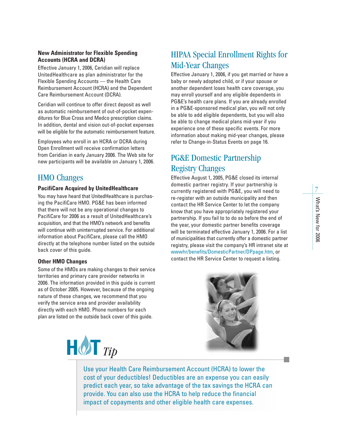### **New Administrator for Flexible Spending Accounts (HCRA and DCRA)**

Effective January 1, 2006, Ceridian will replace UnitedHealthcare as plan administrator for the Flexible Spending Accounts — the Health Care Reimbursement Account (HCRA) and the Dependent Care Reimbursement Account (DCRA).

Ceridian will continue to offer direct deposit as well as automatic reimbursement of out-of-pocket expenditures for Blue Cross and Medco prescription claims. In addition, dental and vision out-of-pocket expenses will be eligible for the automatic reimbursement feature.

Employees who enroll in an HCRA or DCRA during Open Enrollment will receive confirmation letters from Ceridian in early January 2006. The Web site for new participants will be available on January 1, 2006.

### HMO Changes

#### **PacifiCare Acquired by UnitedHealthcare**

You may have heard that UnitedHealthcare is purchasing the PacifiCare HMO. PG&E has been informed that there will not be any operational changes to PacifiCare for 2006 as a result of UnitedHealthcare's acquisition, and that the HMO's network and benefits will continue with uninterrupted service. For additional information about PacifiCare, please call the HMO directly at the telephone number listed on the outside back cover of this guide.

#### **Other HMO Changes**

Some of the HMOs are making changes to their service territories and primary care provider networks in 2006. The information provided in this guide is current as of October 2005. However, because of the ongoing nature of these changes, we recommend that you verify the service area and provider availability directly with each HMO. Phone numbers for each plan are listed on the outside back cover of this guide.



### HIPAA Special Enrollment Rights for Mid-Year Changes

Effective January 1, 2006, if you get married or have a baby or newly adopted child, or if your spouse or another dependent loses health care coverage, you may enroll yourself and any eligible dependents in PG&E's health care plans. If you are already enrolled in a PG&E-sponsored medical plan, you will not only be able to add eligible dependents, but you will also be able to change medical plans mid-year if you experience one of these specific events. For more information about making mid-year changes, please refer to Change-in-Status Events on page 16.

### PG&E Domestic Partnership Registry Changes

Effective August 1, 2005, PG&E closed its internal domestic partner registry. If your partnership is currently registered with PG&E, you will need to re-register with an outside municipality and then contact the HR Service Center to let the company know that you have appropriately registered your partnership. If you fail to to do so before the end of the year, your domestic partner benefits coverage will be terminated effective January 1, 2006. For a list of municipalities that currently offer a domestic partner registry, please visit the company's HR intranet site at wwwhr/benefits/DomesticPartner/DPpage.htm, or contact the HR Service Center to request a listing.



Use your Health Care Reimbursement Account (HCRA) to lower the cost of your deductibles! Deductibles are an expense you can easily predict each year, so take advantage of the tax savings the HCRA can provide. You can also use the HCRA to help reduce the financial impact of copayments and other eligible health care expenses.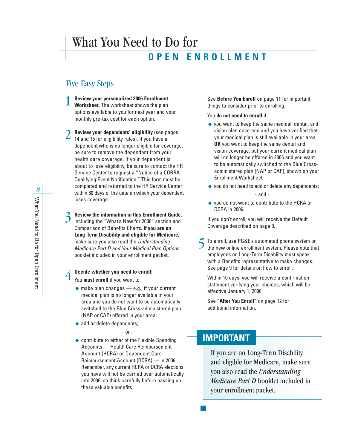### What You Need to Do for **OPEN ENROLLMENT**

### Five Easy Steps

- **Review your personalized 2006 Enrollment Worksheet.** The worksheet shows the plan options available to you for next year and your monthly pre-tax cost for each option. 1
- *C* Review your dependents' eligibility (see pages  $2$  Review your dependents' eligibility (see p<br>14 and 15 for eligibility rules). If you have a dependent who is no longer eligible for coverage, be sure to remove the dependent from your health care coverage. If your dependent is about to lose eligibility, be sure to contact the HR Service Center to request a "Notice of a COBRA Qualifying Event Notification." This form must be completed and returned to the HR Service Center within 60 days of the date on which your dependent loses coverage.
- **Review the information in this Enrollment Guide,** including the "What's New for 2006" section and Comparison of Benefits Charts. **If you are on Long-Term Disability and eligible for Medicare,** make sure you also read the *Understanding Medicare Part D and Your Medical Plan Options* booklet included in your enrollment packet. 3

### **Decide whether you need to enroll:**  $\overline{4}$

You **must enroll** if you want to:

- $\bullet$  make plan changes  $\leftarrow$  e.g., if your current medical plan is no longer available in your area and you do not want to be automatically switched to the Blue Cross-administered plan (NAP or CAP) offered in your area;
- add or delete dependents;

- or -

● contribute to either of the Flexible Spending Accounts — Health Care Reimbursement Account (HCRA) or Dependent Care Reimbursement Account (DCRA) — in 2006. Remember, any current HCRA or DCRA elections you have will not be carried over automatically into 2006, so think carefully before passing up these valuable benefits.

See **Before You Enroll** on page 11 for important things to consider prior to enrolling.

#### You **do not need to enroll** if:

- you want to keep the same medical, dental, and vision plan coverage and you have verified that your medical plan is still available in your area **OR** you want to keep the same dental and vision coverage, but your current medical plan will no longer be offered in 2006 and you want to be automatically switched to the Blue Crossadministered plan (NAP or CAP), shown on your Enrollment Worksheet;
- you do not need to add or delete any dependents;

- and -

● you do not want to contribute to the HCRA or DCRA in 2006.

If you don't enroll, you will receive the Default Coverage described on page 9.

To enroll, use PG&E's automated phone system or the new online enrollment system. Please note that employees on Long-Term Disability must speak with a Benefits representative to make changes. See page 9 for details on how to enroll. 5

Within 10 days, you will receive a confirmation statement verifying your choices, which will be effective January 1, 2006.

See "**After You Enroll"** on page 12 for additional information.

### **IMPORTANT**

If you are on Long-Term Disability and eligible for Medicare, make sure you also read the *Understanding Medicare Part D* booklet included in your enrollment packet.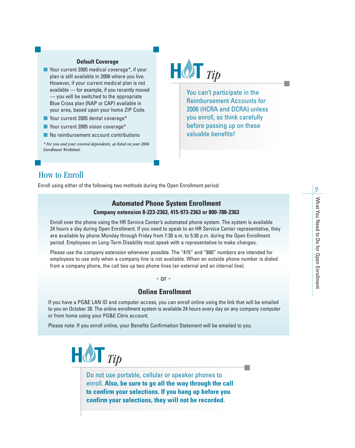#### **Default Coverage**

- Your current 2005 medical coverage\*, if your plan is still available in 2006 where you live. However, if your current medical plan is not available — for example, if you recently moved — you will be switched to the appropriate Blue Cross plan (NAP or CAP) available in your area, based upon your home ZIP Code.
- Your current 2005 dental coverage\*
- Your current 2005 vision coverage\*
- No reimbursement account contributions

*\* For you and your covered dependents, as listed on your 2006 Enrollment Worksheet.*



You can't participate in the Reimbursement Accounts for 2006 (HCRA and DCRA) unless you enroll, so think carefully before passing up on these valuable benefits!

### How to Enroll

Enroll using either of the following two methods during the Open Enrollment period:

### **Automated Phone System Enrollment Company extension 8-223-2363, 415-973-2363 or 800-788-2363**

Enroll over the phone using the HR Service Center's automated phone system. The system is available 24 hours a day during Open Enrollment. If you need to speak to an HR Service Center representative, they are available by phone Monday through Friday from 7:30 a.m. to 5:30 p.m. during the Open Enrollment period. Employees on Long-Term Disability must speak with a representative to make changes.

Please use the company extension whenever possible. The "415" and "800" numbers are intended for employees to use only when a company line is not available. When an outside phone number is dialed from a company phone, the call ties up two phone lines (an external and an internal line).

#### - or -

### **Online Enrollment**

If you have a PG&E LAN ID and computer access, you can enroll online using the link that will be emailed to you on October 28. The online enrollment system is available 24 hours every day on any company computer or from home using your PG&E Citrix account.

Please note: If you enroll online, your Benefits Confirmation Statement will be emailed to you.



Do not use portable, cellular or speaker phones to enroll. **Also, be sure to go all the way through the call to confirm your selections. If you hang up before you confirm your selections, they will not be recorded.**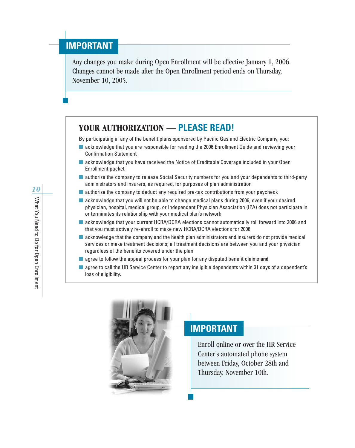### **IMPORTANT**

Any changes you make during Open Enrollment will be effective January 1, 2006. Changes cannot be made after the Open Enrollment period ends on Thursday, November 10, 2005.

### **YOUR AUTHORIZATION — PLEASE READ!**

By participating in any of the benefit plans sponsored by Pacific Gas and Electric Company, you:

- acknowledge that you are responsible for reading the 2006 Enrollment Guide and reviewing your Confirmation Statement
- acknowledge that you have received the Notice of Creditable Coverage included in your Open Enrollment packet
- authorize the company to release Social Security numbers for you and your dependents to third-party administrators and insurers, as required, for purposes of plan administration
- authorize the company to deduct any required pre-tax contributions from your paycheck
- acknowledge that you will not be able to change medical plans during 2006, even if your desired physician, hospital, medical group, or Independent Physician Association (IPA) does not participate in or terminates its relationship with your medical plan's network
- acknowledge that your current HCRA/DCRA elections cannot automatically roll forward into 2006 and that you must actively re-enroll to make new HCRA/DCRA elections for 2006
- acknowledge that the company and the health plan administrators and insurers do not provide medical services or make treatment decisions; all treatment decisions are between you and your physician regardless of the benefits covered under the plan
- agree to follow the appeal process for your plan for any disputed benefit claims **and**
- agree to call the HR Service Center to report any ineligible dependents within 31 days of a dependent's loss of eligibility.



### **IMPORTANT**

Enroll online or over the HR Service Center's automated phone system between Friday, October 28th and Thursday, November 10th.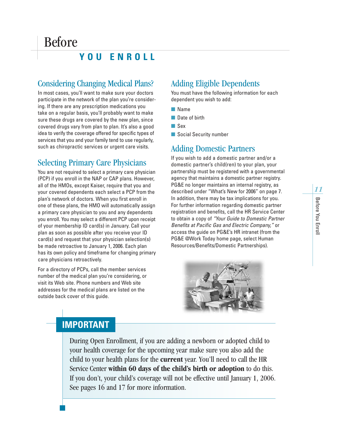### **YOU ENROLL**

### Considering Changing Medical Plans?

In most cases, you'll want to make sure your doctors participate in the network of the plan you're considering. If there are any prescription medications you take on a regular basis, you'll probably want to make sure these drugs are covered by the new plan, since covered drugs vary from plan to plan. It's also a good idea to verify the coverage offered for specific types of services that you and your family tend to use regularly, such as chiropractic services or urgent care visits.

### Selecting Primary Care Physicians

You are not required to select a primary care physician (PCP) if you enroll in the NAP or CAP plans. However, all of the HMOs, except Kaiser, require that you and your covered dependents each select a PCP from the plan's network of doctors. When you first enroll in one of these plans, the HMO will automatically assign a primary care physician to you and any dependents you enroll. You may select a different PCP upon receipt of your membership ID card(s) in January. Call your plan as soon as possible after you receive your ID card(s) and request that your physician selection(s) be made retroactive to January 1, 2006. Each plan has its own policy and timeframe for changing primary care physicians retroactively.

For a directory of PCPs, call the member services number of the medical plan you're considering, or visit its Web site. Phone numbers and Web site addresses for the medical plans are listed on the outside back cover of this guide.

### Adding Eligible Dependents

You must have the following information for each dependent you wish to add:

- Name
- Date of birth
- Sex
- Social Security number

### Adding Domestic Partners

If you wish to add a domestic partner and/or a domestic partner's child(ren) to your plan, your partnership must be registered with a governmental agency that maintains a domestic partner registry. PG&E no longer maintains an internal registry, as described under "What's New for 2006" on page 7. In addition, there may be tax implications for you. For further information regarding domestic partner registration and benefits, call the HR Service Center to obtain a copy of *"Your Guide to Domestic Partner Benefits at Pacific Gas and Electric Company,"* or access the guide on PG&E's HR intranet (from the PG&E @Work Today home page, select Human Resources/Benefits/Domestic Partnerships).



### **IMPORTANT**

During Open Enrollment, if you are adding a newborn or adopted child to your health coverage for the upcoming year make sure you also add the child to your health plans for the **current** year. You'll need to call the HR Service Center **within 60 days of the child's birth or adoption** to do this. If you don't, your child's coverage will not be effective until January 1, 2006. See pages 16 and 17 for more information.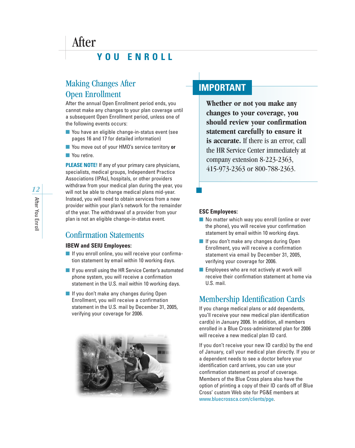### **YOU ENROLL**

### Making Changes After Open Enrollment

After the annual Open Enrollment period ends, you cannot make any changes to your plan coverage until a subsequent Open Enrollment period, unless one of the following events occurs:

- You have an eligible change-in-status event (see pages 16 and 17 for detailed information)
- You move out of your HMO's service territory or
- You retire.

After

**PLEASE NOTE!** If any of your primary care physicians, specialists, medical groups, Independent Practice Associations (IPAs), hospitals, or other providers withdraw from your medical plan during the year, you will not be able to change medical plans mid-year. Instead, you will need to obtain services from a new provider within your plan's network for the remainder of the year. The withdrawal of a provider from your plan is not an eligible change-in-status event.

### Confirmation Statements

#### **IBEW and SEIU Employees:**

- If you enroll online, you will receive your confirmation statement by email within 10 working days.
- If you enroll using the HR Service Center's automated phone system, you will receive a confirmation statement in the U.S. mail within 10 working days.
- If you don't make any changes during Open Enrollment, you will receive a confirmation statement in the U.S. mail by December 31, 2005, verifying your coverage for 2006.



### **IMPORTANT**

**Whether or not you make any changes to your coverage, you should review your confirmation statement carefully to ensure it is accurate.** If there is an error, call the HR Service Center immediately at company extension 8-223-2363, 415-973-2363 or 800-788-2363.

#### **ESC Employees:**

- No matter which way you enroll (online or over the phone), you will receive your confirmation statement by email within 10 working days.
- If you don't make any changes during Open Enrollment, you will receive a confirmation statement via email by December 31, 2005, verifying your coverage for 2006.
- Employees who are not actively at work will receive their confirmation statement at home via U.S. mail.

### Membership Identification Cards

If you change medical plans or add dependents, you'll receive your new medical plan identification card(s) in January 2006. In addition, all members enrolled in a Blue Cross-administered plan for 2006 will receive a new medical plan ID card.

If you don't receive your new ID card(s) by the end of January, call your medical plan directly. If you or a dependent needs to see a doctor before your identification card arrives, you can use your confirmation statement as proof of coverage. Members of the Blue Cross plans also have the option of printing a copy of their ID cards off of Blue Cross' custom Web site for PG&E members at www.bluecrossca.com/clients/pge.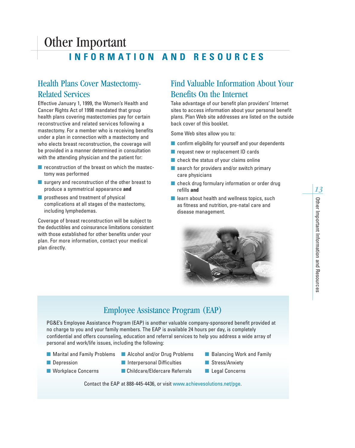### Other Important **INFORMATION AND RESOURCES**

### Health Plans Cover Mastectomy-Related Services

Effective January 1, 1999, the Women's Health and Cancer Rights Act of 1998 mandated that group health plans covering mastectomies pay for certain reconstructive and related services following a mastectomy. For a member who is receiving benefits under a plan in connection with a mastectomy and who elects breast reconstruction, the coverage will be provided in a manner determined in consultation with the attending physician and the patient for:

- reconstruction of the breast on which the mastectomy was performed
- surgery and reconstruction of the other breast to produce a symmetrical appearance **and**
- prostheses and treatment of physical complications at all stages of the mastectomy, including lymphedemas.

Coverage of breast reconstruction will be subject to the deductibles and coinsurance limitations consistent with those established for other benefits under your plan. For more information, contact your medical plan directly.

### Find Valuable Information About Your Benefits On the Internet

Take advantage of our benefit plan providers' Internet sites to access information about your personal benefit plans. Plan Web site addresses are listed on the outside back cover of this booklet.

Some Web sites allow you to:

- confirm eligibility for yourself and your dependents
- request new or replacement ID cards
- check the status of your claims online
- search for providers and/or switch primary care physicians
- check drug formulary information or order drug refills **and**
- learn about health and wellness topics, such as fitness and nutrition, pre-natal care and disease management.



### Employee Assistance Program (EAP)

PG&E's Employee Assistance Program (EAP) is another valuable company-sponsored benefit provided at no charge to you and your family members. The EAP is available 24 hours per day, is completely confidential and offers counseling, education and referral services to help you address a wide array of personal and work/life issues, including the following:

- Marital and Family Problems Alcohol and/or Drug Problems Balancing Work and Family
	-
- 
- 
- Depression Interpersonal Difficulties Stress/Anxiety
- Workplace Concerns Childcare/Eldercare Referrals Legal Concerns
- 
- -

*13*

Contact the EAP at 888-445-4436, or visit www.achievesolutions.net/pge.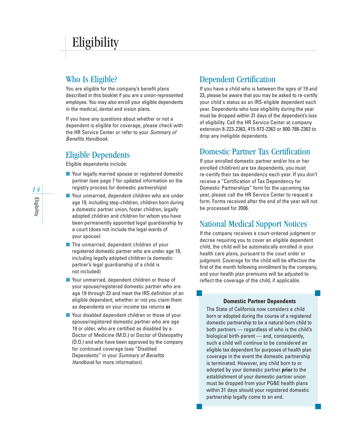### Who Is Eligible?

You are eligible for the company's benefit plans described in this booklet if you are a union-represented employee. You may also enroll your eligible dependents in the medical, dental and vision plans.

If you have any questions about whether or not a dependent is eligible for coverage, please check with the HR Service Center or refer to your *Summary of Benefits Handbook*.

### Eligible Dependents

Eligible dependents include:

- Your legally married spouse or registered domestic partner (see page 7 for updated information on the registry process for domestic partnerships)
- Your unmarried, dependent children who are under age 19, including step-children, children born during a domestic partner union, foster children, legally adopted children and children for whom you have been permanently appointed legal guardianship by a court (does not include the legal wards of your spouse)
- The unmarried, dependent children of your registered domestic partner who are under age 19, including legally adopted children (a domestic partner's legal guardianship of a child is not included)
- Your unmarried, dependent children or those of your spouse/registered domestic partner who are age 19 through 23 and meet the IRS definition of an eligible dependent, whether or not you claim them as dependents on your income tax returns **or**
- Your disabled dependent children or those of your spouse/registered domestic partner who are age 19 or older, who are certified as disabled by a Doctor of Medicine (M.D.) or Doctor of Osteopathy (D.O.) and who have been approved by the company for continued coverage (see "Disabled Dependents" in your *Summary of Benefits Handbook* for more information).

### Dependent Certification

If you have a child who is between the ages of 19 and 23, please be aware that you may be asked to re-certify your child's status as an IRS-eligible dependent each year. Dependents who lose eligibility during the year must be dropped within 31 days of the dependent's loss of eligibility. Call the HR Service Center at company extension 8-223-2363, 415-973-2363 or 800-788-2363 to drop any ineligible dependents.

### Domestic Partner Tax Certification

If your enrolled domestic partner and/or his or her enrolled child(ren) are tax dependents, you must re-certify their tax dependency each year. If you don't receive a "Certification of Tax Dependency for Domestic Partnerships" form for the upcoming tax year, please call the HR Service Center to request a form. Forms received after the end of the year will not be processed for 2006.

### National Medical Support Notices

If the company receives a court-ordered judgment or decree requiring you to cover an eligible dependent child, the child will be automatically enrolled in your health care plans, pursuant to the court order or judgment. Coverage for the child will be effective the first of the month following enrollment by the company, and your health plan premiums will be adjusted to reflect the coverage of the child, if applicable.

### **Domestic Partner Dependents**

The State of California now considers a child born or adopted during the course of a registered domestic partnership to be a natural-born child to both partners — regardless of who is the child's biological birth-parent — and, consequently, such a child will continue to be considered an eligible tax dependent for purposes of health plan coverage in the event the domestic partnership is terminated. However, any child born to or adopted by your domestic partner **prior** to the establishment of your domestic partner union must be dropped from your PG&E health plans within 31 days should your registered domestic partnership legally come to an end.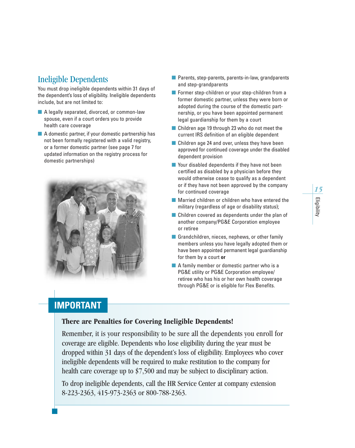### Ineligible Dependents

You must drop ineligible dependents within 31 days of the dependent's loss of eligibility. Ineligible dependents include, but are not limited to:

- A legally separated, divorced, or common-law spouse, even if a court orders you to provide health care coverage
- A domestic partner, if your domestic partnership has not been formally registered with a valid registry, or a former domestic partner (see page 7 for updated information on the registry process for domestic partnerships)



- Parents, step-parents, parents-in-law, grandparents and step-grandparents
- Former step-children or your step-children from a former domestic partner, unless they were born or adopted during the course of the domestic partnership, or you have been appointed permanent legal guardianship for them by a court
- Children age 19 through 23 who do not meet the current IRS definition of an eligible dependent
- Children age 24 and over, unless they have been approved for continued coverage under the disabled dependent provision
- Your disabled dependents if they have not been certified as disabled by a physician before they would otherwise cease to qualify as a dependent or if they have not been approved by the company for continued coverage
- Married children or children who have entered the military (regardless of age or disability status);
- Children covered as dependents under the plan of another company/PG&E Corporation employee or retiree
- Grandchildren, nieces, nephews, or other family members unless you have legally adopted them or have been appointed permanent legal guardianship for them by a court **or**
- A family member or domestic partner who is a PG&E utility or PG&E Corporation employee/ retiree who has his or her own health coverage through PG&E or is eligible for Flex Benefits.

### **IMPORTANT**

### **There are Penalties for Covering Ineligible Dependents!**

Remember, it is your responsibility to be sure all the dependents you enroll for coverage are eligible. Dependents who lose eligibility during the year must be dropped within 31 days of the dependent's loss of eligibility. Employees who cover ineligible dependents will be required to make restitution to the company for health care coverage up to \$7,500 and may be subject to disciplinary action.

To drop ineligible dependents, call the HR Service Center at company extension 8-223-2363, 415-973-2363 or 800-788-2363.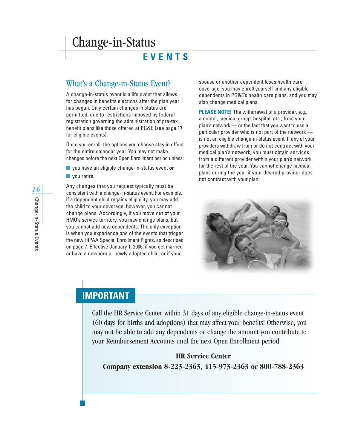### Change-in-Status

**EVENTS**

### What's a Change-in-Status Event?

A change-in-status event is a life event that allows for changes in benefits elections after the plan year has begun. Only certain changes in status are permitted, due to restrictions imposed by federal registration governing the administration of pre-tax benefit plans like those offered at PG&E (see page 17 for eligible events).

Once you enroll, the options you choose stay in effect for the entire calendar year. You may not make changes before the next Open Enrollment period unless:

- you have an eligible change-in-status event or
- vou retire.

Any changes that you request typically must be consistent with a change-in-status event. For example, if a dependent child regains eligibility, you may add the child to your coverage; however, you cannot change plans. Accordingly, if you move out of your HMO's service territory, you may change plans, but you cannot add new dependents. The only exception is when you experience one of the events that trigger the new HIPAA Special Enrollment Rights, as described on page 7. Effective January 1, 2006, if you get married or have a newborn or newly adopted child, or if your

spouse or another dependent loses health care coverage, you may enroll yourself and any eligible dependents in PG&E's health care plans, and you may also change medical plans.

**PLEASE NOTE!** The withdrawal of a provider, e.g., a doctor, medical group, hospital, etc., from your plan's network — or the fact that you want to use a particular provider who is not part of the network is not an eligible change-in-status event. If any of your providers withdraw from or do not contract with your medical plan's network, you must obtain services from a different provider within your plan's network for the rest of the year. You cannot change medical plans during the year if your desired provider does not contract with your plan.



### **IMPORTANT**

Call the HR Service Center within 31 days of any eligible change-in-status event (60 days for births and adoptions) that may affect your benefits! Otherwise, you may not be able to add any dependents or change the amount you contribute to your Reimbursement Accounts until the next Open Enrollment period.

### **HR Service Center**

**Company extension 8-223-2363, 415-973-2363 or 800-788-2363**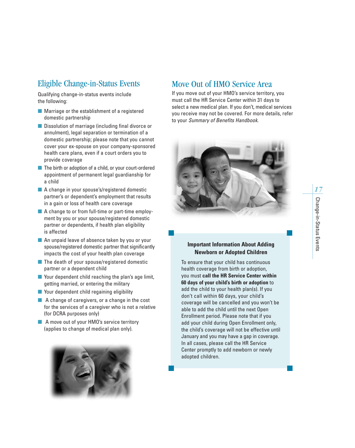### Eligible Change-in-Status Events

Qualifying change-in-status events include the following:

- Marriage or the establishment of a registered domestic partnership
- Dissolution of marriage (including final divorce or annulment), legal separation or termination of a domestic partnership; please note that you cannot cover your ex-spouse on your company-sponsored health care plans, even if a court orders you to provide coverage
- The birth or adoption of a child, or your court-ordered appointment of permanent legal guardianship for a child
- A change in your spouse's/registered domestic partner's or dependent's employment that results in a gain or loss of health care coverage
- A change to or from full-time or part-time employment by you or your spouse/registered domestic partner or dependents, if health plan eligibility is affected
- An unpaid leave of absence taken by you or your spouse/registered domestic partner that significantly impacts the cost of your health plan coverage
- The death of your spouse/registered domestic partner or a dependent child
- Your dependent child reaching the plan's age limit, getting married, or entering the military
- Your dependent child regaining eligibility
- A change of caregivers, or a change in the cost for the services of a caregiver who is not a relative (for DCRA purposes only)
- A move out of your HMO's service territory (applies to change of medical plan only).



### Move Out of HMO Service Area

If you move out of your HMO's service territory, you must call the HR Service Center within 31 days to select a new medical plan. If you don't, medical services you receive may not be covered. For more details, refer to your *Summary of Benefits Handbook*.



### **Important Information About Adding Newborn or Adopted Children**

To ensure that your child has continuous health coverage from birth or adoption, you must **call the HR Service Center within 60 days of your child's birth or adoption** to add the child to your health plan(s). If you don't call within 60 days, your child's coverage will be cancelled and you won't be able to add the child until the next Open Enrollment period. Please note that if you add your child during Open Enrollment only, the child's coverage will not be effective until January and you may have a gap in coverage. In all cases, please call the HR Service Center promptly to add newborn or newly adopted children.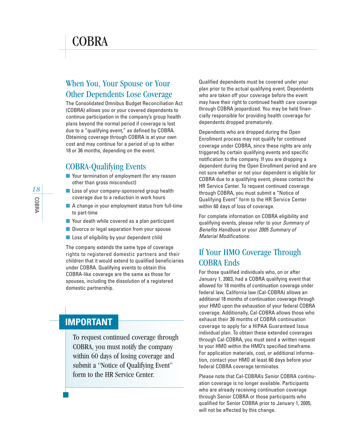### COBRA

### When You, Your Spouse or Your Other Dependents Lose Coverage

The Consolidated Omnibus Budget Reconciliation Act (COBRA) allows you or your covered dependents to continue participation in the company's group health plans beyond the normal period if coverage is lost due to a "qualifying event," as defined by COBRA. Obtaining coverage through COBRA is at your own cost and may continue for a period of up to either 18 or 36 months, depending on the event.

### COBRA-Qualifying Events

- Your termination of employment (for any reason other than gross misconduct)
- Loss of your company-sponsored group health coverage due to a reduction in work hours
- A change in your employment status from full-time to part-time
- Your death while covered as a plan participant
- Divorce or legal separation from your spouse
- Loss of eligibility by your dependent child

The company extends the same type of coverage rights to registered domestic partners and their children that it would extend to qualified beneficiaries under COBRA. Qualifying events to obtain this COBRA-like coverage are the same as those for spouses, including the dissolution of a registered domestic partnership.

### **IMPORTANT**

To request continued coverage through COBRA, you must notify the company within 60 days of losing coverage and submit a "Notice of Qualifying Event" form to the HR Service Center.

Qualified dependents must be covered under your plan prior to the actual qualifying event. Dependents who are taken off your coverage before the event may have their right to continued health care coverage through COBRA jeopardized. You may be held financially responsible for providing health coverage for dependents dropped prematurely.

Dependents who are dropped during the Open Enrollment process may not qualify for continued coverage under COBRA, since these rights are only triggered by certain qualifying events and specific notification to the company. If you are dropping a dependent during the Open Enrollment period and are not sure whether or not your dependent is eligible for COBRA due to a qualifying event, please contact the HR Service Center. To request continued coverage through COBRA, you must submit a "Notice of Qualifying Event" form to the HR Service Center within 60 days of loss of coverage.

For complete information on COBRA eligibility and qualifying events, please refer to your *Summary of Benefits Handbook* or your *2005 Summary of Material Modifications*.

### If Your HMO Coverage Through COBRA Ends

For those qualified individuals who, on or after January 1, 2003, had a COBRA qualifying event that allowed for 18 months of continuation coverage under federal law, California law (Cal-COBRA) allows an additional 18 months of continuation coverage through your HMO upon the exhaustion of your federal COBRA coverage. Additionally, Cal-COBRA allows those who exhaust their 36 months of COBRA continuation coverage to apply for a HIPAA Guaranteed Issue individual plan. To obtain these extended coverages through Cal-COBRA, you must send a written request to your HMO within the HMO's specified timeframe. For application materials, cost, or additional information, contact your HMO at least 60 days before your federal COBRA coverage terminates.

Please note that Cal-COBRA's Senior COBRA continuation coverage is no longer available. Participants who are already receiving continuation coverage through Senior COBRA or those participants who qualified for Senior COBRA prior to January 1, 2005, will not be affected by this change.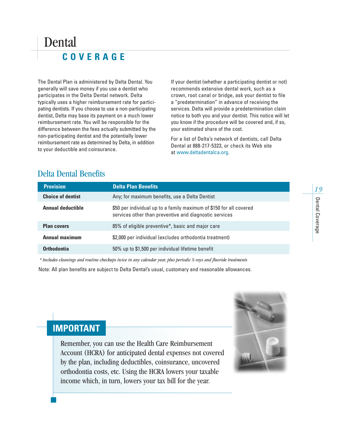### Dental **COVERAGE**

The Dental Plan is administered by Delta Dental. You generally will save money if you use a dentist who participates in the Delta Dental network. Delta typically uses a higher reimbursement rate for participating dentists. If you choose to use a non-participating dentist, Delta may base its payment on a much lower reimbursement rate. You will be responsible for the difference between the fees actually submitted by the non-participating dentist and the potentially lower reimbursement rate as determined by Delta, in addition to your deductible and coinsurance.

If your dentist (whether a participating dentist or not) recommends extensive dental work, such as a crown, root canal or bridge, ask your dentist to file a "predetermination" in advance of receiving the services. Delta will provide a predetermination claim notice to both you and your dentist. This notice will let you know if the procedure will be covered and, if so, your estimated share of the cost.

For a list of Delta's network of dentists, call Delta Dental at 888-217-5323, or check its Web site at www.deltadentalca.org.

| <b>Provision</b>         | <b>Delta Plan Benefits</b>                                                                                                    | 19       |
|--------------------------|-------------------------------------------------------------------------------------------------------------------------------|----------|
| <b>Choice of dentist</b> | Any; for maximum benefits, use a Delta Dentist                                                                                |          |
| <b>Annual deductible</b> | \$50 per individual up to a family maximum of \$150 for all covered<br>services other than preventive and diagnostic services | Dental   |
| <b>Plan covers</b>       | 85% of eligible preventive*, basic and major care                                                                             | Coverage |
| <b>Annual maximum</b>    | \$2,000 per individual (excludes orthodontia treatment)                                                                       |          |
| Orthodontia              | 50% up to \$1,500 per individual lifetime benefit                                                                             |          |

### Delta Dental Benefits

*\* Includes cleanings and routine checkups twice in any calendar year, plus periodic X-rays and fluoride treatments*

Note: All plan benefits are subject to Delta Dental's usual, customary and reasonable allowances.



### **IMPORTANT**

Remember, you can use the Health Care Reimbursement Account (HCRA) for anticipated dental expenses not covered by the plan, including deductibles, coinsurance, uncovered orthodontia costs, etc. Using the HCRA lowers your taxable income which, in turn, lowers your tax bill for the year.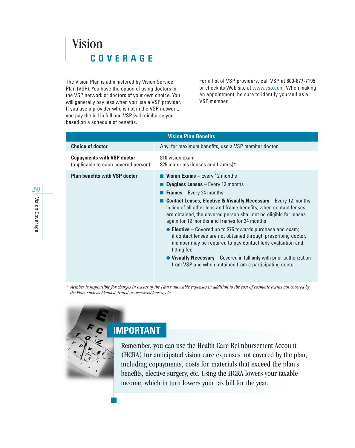### Vision **COVERAGE**

The Vision Plan is administered by Vision Service Plan (VSP). You have the option of using doctors in the VSP network or doctors of your own choice. You will generally pay less when you use a VSP provider. If you use a provider who is not in the VSP network, you pay the bill in full and VSP will reimburse you based on a schedule of benefits.

For a list of VSP providers, call VSP at 800-877-7195 or check its Web site at www.vsp.com. When making an appointment, be sure to identify yourself as a VSP member.

| <b>Vision Plan Benefits</b>                                              |                                                                                                                                                                                                                                                                                                                                                                                                                                                                                                                                                                                                                                                                                                                                                              |  |
|--------------------------------------------------------------------------|--------------------------------------------------------------------------------------------------------------------------------------------------------------------------------------------------------------------------------------------------------------------------------------------------------------------------------------------------------------------------------------------------------------------------------------------------------------------------------------------------------------------------------------------------------------------------------------------------------------------------------------------------------------------------------------------------------------------------------------------------------------|--|
| <b>Choice of doctor</b>                                                  | Any; for maximum benefits, use a VSP member doctor                                                                                                                                                                                                                                                                                                                                                                                                                                                                                                                                                                                                                                                                                                           |  |
| <b>Copayments with VSP doctor</b><br>(applicable to each covered person) | \$10 vision exam<br>\$25 materials (lenses and frames)*                                                                                                                                                                                                                                                                                                                                                                                                                                                                                                                                                                                                                                                                                                      |  |
| <b>Plan benefits with VSP doctor</b>                                     | <b>Vision Exams</b> – Every 12 months<br><b>Eyeglass Lenses</b> $-$ Every 12 months<br><b>Frames</b> – Every 24 months<br><b>Contact Lenses, Elective &amp; Visually Necessary</b> - Every 12 months<br>in lieu of all other lens and frame benefits; when contact lenses<br>are obtained, the covered person shall not be eligible for lenses<br>again for 12 months and frames for 24 months<br>$\bullet$ Elective – Covered up to \$75 towards purchase and exam;<br>if contact lenses are not obtained through prescribing doctor,<br>member may be required to pay contact lens evaluation and<br>fitting fee<br>$\bullet$ Visually Necessary – Covered in full only with prior authorization<br>from VSP and when obtained from a participating doctor |  |

*\* Member is responsible for charges in excess of the Plan's allowable expenses in addition to the cost of cosmetic extras not covered by the Plan, such as blended, tinted or oversized lenses, etc.*



### **IMPORTANT**

Remember, you can use the Health Care Reimbursement Account (HCRA) for anticipated vision care expenses not covered by the plan, including copayments, costs for materials that exceed the plan's benefits, elective surgery, etc. Using the HCRA lowers your taxable income, which in turn lowers your tax bill for the year.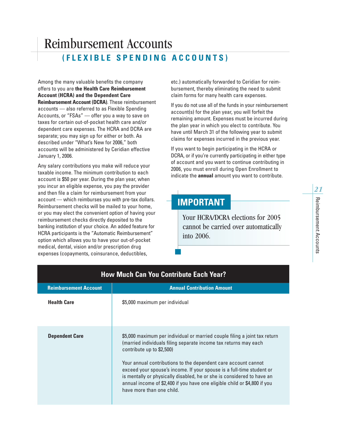### Reimbursement Accounts **(FLEXIBLE SPENDING ACCOUNTS)**

Among the many valuable benefits the company offers to you are **the Health Care Reimbursement Account (HCRA) and the Dependent Care Reimbursement Account (DCRA)**. These reimbursement accounts — also referred to as Flexible Spending Accounts, or "FSAs" — offer you a way to save on taxes for certain out-of-pocket health care and/or dependent care expenses. The HCRA and DCRA are separate; you may sign up for either or both. As described under "What's New for 2006," both accounts will be administered by Ceridian effective January 1, 2006.

Any salary contributions you make will reduce your taxable income. The minimum contribution to each account is \$50 per year. During the plan year, when you incur an eligible expense, you pay the provider and then file a claim for reimbursement from your account — which reimburses you with pre-tax dollars. Reimbursement checks will be mailed to your home, or you may elect the convenient option of having your reimbursement checks directly deposited to the banking institution of your choice. An added feature for HCRA participants is the "Automatic Reimbursement" option which allows you to have your out-of-pocket medical, dental, vision and/or prescription drug expenses (copayments, coinsurance, deductibles,

etc.) automatically forwarded to Ceridian for reimbursement, thereby eliminating the need to submit claim forms for many health care expenses.

If you do not use all of the funds in your reimbursement account(s) for the plan year, you will forfeit the remaining amount. Expenses must be incurred during the plan year in which you elect to contribute. You have until March 31 of the following year to submit claims for expenses incurred in the previous year.

If you want to begin participating in the HCRA or DCRA, or if you're currently participating in either type of account and you want to continue contributing in 2006, you must enroll during Open Enrollment to indicate the **annual** amount you want to contribute.

### **IMPORTANT**

Your HCRA/DCRA elections for 2005 cannot be carried over automatically into 2006.

| <b>How Much Can You Contribute Each Year?</b> |                                                                                                                                                                                                                                                                                                                                                                                                                                                                                                            |  |  |
|-----------------------------------------------|------------------------------------------------------------------------------------------------------------------------------------------------------------------------------------------------------------------------------------------------------------------------------------------------------------------------------------------------------------------------------------------------------------------------------------------------------------------------------------------------------------|--|--|
| <b>Reimbursement Account</b>                  | <b>Annual Contribution Amount</b>                                                                                                                                                                                                                                                                                                                                                                                                                                                                          |  |  |
| <b>Health Care</b>                            | \$5,000 maximum per individual                                                                                                                                                                                                                                                                                                                                                                                                                                                                             |  |  |
| <b>Dependent Care</b>                         | \$5,000 maximum per individual or married couple filing a joint tax return<br>(married individuals filing separate income tax returns may each<br>contribute up to \$2,500)<br>Your annual contributions to the dependent care account cannot<br>exceed your spouse's income. If your spouse is a full-time student or<br>is mentally or physically disabled, he or she is considered to have an<br>annual income of \$2,400 if you have one eligible child or \$4,800 if you<br>have more than one child. |  |  |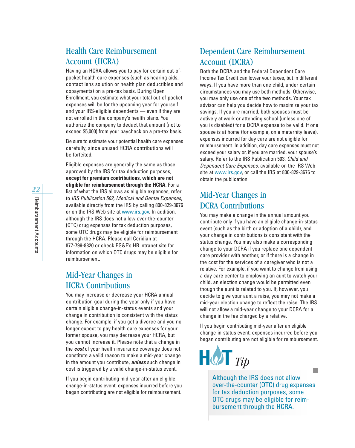### Health Care Reimbursement Account (HCRA)

Having an HCRA allows you to pay for certain out-ofpocket health care expenses (such as hearing aids, contact lens solution or health plan deductibles and copayments) on a pre-tax basis. During Open Enrollment, you estimate what your total out-of-pocket expenses will be for the upcoming year for yourself and your IRS-eligible dependents — even if they are not enrolled in the company's health plans. You authorize the company to deduct that amount (not to exceed \$5,000) from your paycheck on a pre-tax basis.

Be sure to estimate your potential health care expenses carefully, since unused HCRA contributions will be forfeited.

Eligible expenses are generally the same as those approved by the IRS for tax deduction purposes, **except for premium contributions, which are not eligible for reimbursement through the HCRA**. For a list of what the IRS allows as eligible expenses, refer to *IRS Publication 502, Medical and Dental Expenses*, available directly from the IRS by calling 800-829-3676 or on the IRS Web site at www.irs.gov. In addition, although the IRS does not allow over-the-counter (OTC) drug expenses for tax deduction purposes, some OTC drugs may be eligible for reimbursement through the HCRA. Please call Ceridian at 877-799-8820 or check PG&E's HR intranet site for information on which OTC drugs may be eligible for reimbursement.

### Mid-Year Changes in HCRA Contributions

You may increase or decrease your HCRA annual contribution goal during the year only if you have certain eligible change-in-status events and your change in contribution is consistent with the status change. For example, if you get a divorce and you no longer expect to pay health care expenses for your former spouse, you may decrease your HCRA, but you cannot increase it. Please note that a change in the *cost* of your health insurance coverage does not constitute a valid reason to make a mid-year change in the amount you contribute, *unless* such change in cost is triggered by a valid change-in-status event.

If you begin contributing mid-year after an eligible change-in-status event, expenses incurred before you began contributing are not eligible for reimbursement.

### Dependent Care Reimbursement Account (DCRA)

Both the DCRA and the Federal Dependent Care Income Tax Credit can lower your taxes, but in different ways. If you have more than one child, under certain circumstances you may use both methods. Otherwise, you may only use one of the two methods. Your tax advisor can help you decide how to maximize your tax savings. If you are married, both spouses must be actively at work or attending school (unless one of you is disabled) for a DCRA expense to be valid. If one spouse is at home (for example, on a maternity leave), expenses incurred for day care are not eligible for reimbursement. In addition, day care expenses must not exceed your salary or, if you are married, your spouse's salary. Refer to the IRS Publication 503, *Child and Dependent Care Expenses*, available on the IRS Web site at www.irs.gov, or call the IRS at 800-829-3676 to obtain the publication.

### Mid-Year Changes in DCRA Contributions

You may make a change in the annual amount you contribute only if you have an eligible change-in-status event (such as the birth or adoption of a child), and your change in contributions is consistent with the status change. You may also make a corresponding change to your DCRA if you replace one dependent care provider with another, or if there is a change in the cost for the services of a caregiver who is not a relative. For example, if you want to change from using a day care center to employing an aunt to watch your child, an election change would be permitted even though the aunt is related to you. If, however, you decide to give your aunt a raise, you may not make a mid-year election change to reflect the raise. The IRS will not allow a mid-year change to your DCRA for a change in the fee charged by a relative.

If you begin contributing mid-year after an eligible change-in-status event, expenses incurred before you began contributing are not eligible for reimbursement.



Although the IRS does not allow over-the-counter (OTC) drug expenses for tax deduction purposes, some OTC drugs may be eligible for reimbursement through the HCRA.

e.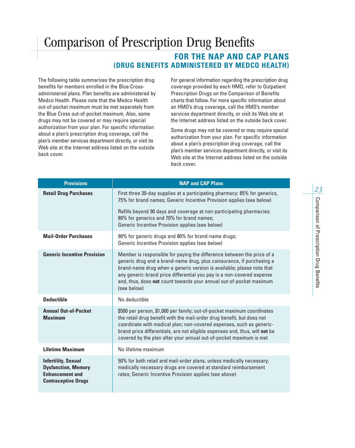### Comparison of Prescription Drug Benefits

### **FOR THE NAP AND CAP PLANS (DRUG BENEFITS ADMINISTERED BY MEDCO HEALTH)**

The following table summarizes the prescription drug benefits for members enrolled in the Blue Crossadministered plans. Plan benefits are administered by Medco Health. Please note that the Medco Health out-of-pocket maximum must be met separately from the Blue Cross out-of-pocket maximum. Also, some drugs may not be covered or may require special authorization from your plan. For specific information about a plan's prescription drug coverage, call the plan's member services department directly, or visit its Web site at the Internet address listed on the outside back cover.

For general information regarding the prescription drug coverage provided by each HMO, refer to Outpatient Prescription Drugs on the Comparison of Benefits charts that follow. For more specific information about an HMO's drug coverage, call the HMO's member services department directly, or visit its Web site at the Internet address listed on the outside back cover.

Some drugs may not be covered or may require special authorization from your plan. For specific information about a plan's prescription drug coverage, call the plan's member services department directly, or visit its Web site at the Internet address listed on the outside back cover.

| <b>Provisions</b>                                                                                                | <b>NAP and CAP Plans</b>                                                                                                                                                                                                                                                                                                                                                                |
|------------------------------------------------------------------------------------------------------------------|-----------------------------------------------------------------------------------------------------------------------------------------------------------------------------------------------------------------------------------------------------------------------------------------------------------------------------------------------------------------------------------------|
| <b>Retail Drug Purchases</b>                                                                                     | First three 30-day supplies at a participating pharmacy: 85% for generics,<br>75% for brand names; Generic Incentive Provision applies (see below)                                                                                                                                                                                                                                      |
|                                                                                                                  | Refills beyond 90 days and coverage at non-participating pharmacies:<br>80% for generics and 70% for brand names;<br>Generic Incentive Provision applies (see below)                                                                                                                                                                                                                    |
| <b>Mail-Order Purchases</b>                                                                                      | 90% for generic drugs and 80% for brand-name drugs;<br>Generic Incentive Provision applies (see below)                                                                                                                                                                                                                                                                                  |
| <b>Generic Incentive Provision</b>                                                                               | Member is responsible for paying the difference between the price of a<br>generic drug and a brand-name drug, plus coinsurance, if purchasing a<br>brand-name drug when a generic version is available; please note that<br>any generic-brand price differential you pay is a non-covered expense<br>and, thus, does not count towards your annual out-of-pocket maximum<br>(see below) |
| <b>Deductible</b>                                                                                                | No deductible                                                                                                                                                                                                                                                                                                                                                                           |
| <b>Annual Out-of-Pocket</b><br><b>Maximum</b>                                                                    | \$500 per person, \$1,000 per family; out-of-pocket maximum coordinates<br>the retail drug benefit with the mail-order drug benefit, but does not<br>coordinate with medical plan; non-covered expenses, such as generic-<br>brand price differentials, are not eligible expenses and, thus, will not be<br>covered by the plan after your annual out-of-pocket maximum is met          |
| <b>Lifetime Maximum</b>                                                                                          | No lifetime maximum                                                                                                                                                                                                                                                                                                                                                                     |
| <b>Infertility, Sexual</b><br><b>Dysfunction, Memory</b><br><b>Enhancement and</b><br><b>Contraceptive Drugs</b> | 50% for both retail and mail-order plans, unless medically necessary;<br>medically necessary drugs are covered at standard reimbursement<br>rates; Generic Incentive Provision applies (see above)                                                                                                                                                                                      |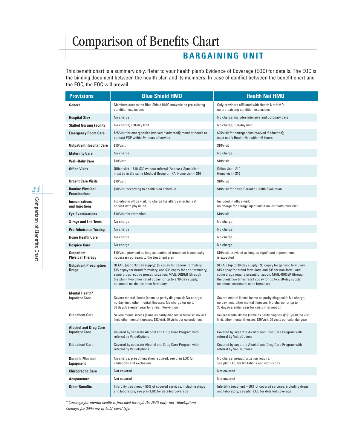### **BARGAINING UNIT**

This benefit chart is a summary only. Refer to your health plan's Evidence of Coverage (EOC) for details. The EOC is the binding document between the health plan and its members. In case of conflict between the benefit chart and the EOC, the EOC will prevail.

| <b>Provisions</b>                                     | <b>Blue Shield HMO</b><br><b>Health Net HMO</b>                                                                                                                                                                                                                                                      |                                                                                                                                                                                                                                                                                                |  |
|-------------------------------------------------------|------------------------------------------------------------------------------------------------------------------------------------------------------------------------------------------------------------------------------------------------------------------------------------------------------|------------------------------------------------------------------------------------------------------------------------------------------------------------------------------------------------------------------------------------------------------------------------------------------------|--|
| General                                               | Members access the Blue Shield HMO network; no pre-existing<br>condition exclusions                                                                                                                                                                                                                  | Only providers affiliated with Health Net HMO;<br>no pre-existing condition exclusions                                                                                                                                                                                                         |  |
| <b>Hospital Stay</b>                                  | No charge                                                                                                                                                                                                                                                                                            | No charge; includes intensive and coronary care                                                                                                                                                                                                                                                |  |
| <b>Skilled Nursing Facility</b>                       | No charge; 100-day limit                                                                                                                                                                                                                                                                             | No charge; 100-day limit                                                                                                                                                                                                                                                                       |  |
| <b>Emergency Room Care</b>                            | \$25/visit for emergencies (waived if admitted); member needs to<br>contact PCP within 24 hours of service                                                                                                                                                                                           | \$25/visit for emergencies (waived if admitted);<br>must notify Health Net within 48 hours                                                                                                                                                                                                     |  |
| <b>Outpatient Hospital Care</b>                       | \$10/visit                                                                                                                                                                                                                                                                                           | \$10/visit                                                                                                                                                                                                                                                                                     |  |
| <b>Maternity Care</b>                                 | No charge                                                                                                                                                                                                                                                                                            | No charge                                                                                                                                                                                                                                                                                      |  |
| <b>Well-Baby Care</b>                                 | \$10/visit                                                                                                                                                                                                                                                                                           | \$10/visit                                                                                                                                                                                                                                                                                     |  |
| <b>Office Visits</b>                                  | Office visit - \$10; \$30 without referral (Access+ Specialist) -<br>must be in the same Medical Group or IPA; Home visit - \$10                                                                                                                                                                     | Office visit - \$10<br>Home visit - \$10                                                                                                                                                                                                                                                       |  |
| <b>Urgent Care Visits</b>                             | \$10/visit                                                                                                                                                                                                                                                                                           | \$10/vist                                                                                                                                                                                                                                                                                      |  |
| <b>Routine Physical</b><br><b>Examinations</b>        | \$10/visit according to health plan schedule                                                                                                                                                                                                                                                         | \$10/visit for basic Periodic Health Evaluation                                                                                                                                                                                                                                                |  |
| <b>Immunizations</b><br>and Injections                | Included in office visit; no charge for allergy injections if<br>no visit with physician                                                                                                                                                                                                             | Included in office visit;<br>no charge for allergy injections if no visit with physician                                                                                                                                                                                                       |  |
| <b>Eye Examinations</b>                               | \$10/visit for refraction                                                                                                                                                                                                                                                                            | \$10/vist                                                                                                                                                                                                                                                                                      |  |
| <b>X-rays and Lab Tests</b>                           | No charge                                                                                                                                                                                                                                                                                            | No charge                                                                                                                                                                                                                                                                                      |  |
| <b>Pre-Admission Testing</b>                          | No charge                                                                                                                                                                                                                                                                                            | No charge                                                                                                                                                                                                                                                                                      |  |
| <b>Home Health Care</b>                               | No charge                                                                                                                                                                                                                                                                                            | No charge                                                                                                                                                                                                                                                                                      |  |
| <b>Hospice Care</b>                                   | No charge                                                                                                                                                                                                                                                                                            | No charge                                                                                                                                                                                                                                                                                      |  |
| <b>Outpatient</b><br><b>Physical Therapy</b>          | \$10/visit; provided as long as continued treatment is medically<br>necessary pursuant to the treatment plan                                                                                                                                                                                         | \$10/visit; provided as long as significant improvement<br>is expected                                                                                                                                                                                                                         |  |
| <b>Outpatient Prescription</b><br><b>Drugs</b>        | RETAIL (up to 30-day supply): \$5 copay for generic formulary,<br>\$15 copay for brand formulary, and \$35 copay for non-formulary;<br>some drugs require preauthorization; MAIL-ORDER (through<br>the plan): two times retail copay for up to a 90-day supply;<br>no annual maximum; open formulary | RETAIL (up to 30-day supply): \$5 copay for generic formulary,<br>\$15 copay for brand formulary, and \$35 for non-formulary;<br>some drugs require preauthorization; MAIL-ORDER (through<br>the plan): two times retail copay for up to a 90-day supply;<br>no annual maximum; open formulary |  |
| <b>Mental Health*</b><br><b>Inpatient Care</b>        | Severe mental illness (same as parity diagnosis): No charge;<br>no day limit; other mental illnesses: No charge for up to<br>30 days/calendar year for crisis intervention                                                                                                                           | Severe mental illness (same as parity diagnosis): No charge;<br>no day limit; other mental illnesses: No charge for up to<br>30 days/calendar year for crisis intervention                                                                                                                     |  |
| <b>Outpatient Care</b>                                | Severe mental illness (same as parity diagnosis): \$10/visit; no visit<br>limit; other mental illnesses: \$20/visit; 20 visits per calendar year                                                                                                                                                     | Severe mental illness (same as parity diagnosis): \$10/visit; no visit<br>limit; other mental illnesses: \$20/visit; 20 visits per calendar year                                                                                                                                               |  |
| <b>Alcohol and Drug Care</b><br><b>Inpatient Care</b> | Covered by separate Alcohol and Drug Care Program with<br>referral by ValueOptions                                                                                                                                                                                                                   | Covered by separate Alcohol and Drug Care Program with<br>referral by ValueOptions                                                                                                                                                                                                             |  |
| <b>Outpatient Care</b>                                | Covered by separate Alcohol and Drug Care Program with<br>referral by ValueOptions                                                                                                                                                                                                                   | Covered by separate Alcohol and Drug Care Program with<br>referral by ValueOptions                                                                                                                                                                                                             |  |
| <b>Durable Medical</b><br><b>Equipment</b>            | No charge; preauthorization required; see plan EOC for<br>limitations and exclusions                                                                                                                                                                                                                 | No charge; preauthorization require;<br>see plan EOC for limitations and exclusions                                                                                                                                                                                                            |  |
| <b>Chiropractic Care</b>                              | Not covered                                                                                                                                                                                                                                                                                          | Not covered                                                                                                                                                                                                                                                                                    |  |
| <b>Acupuncture</b>                                    | Not covered                                                                                                                                                                                                                                                                                          | Not covered                                                                                                                                                                                                                                                                                    |  |
| <b>Other Benefits</b>                                 | Infertility treatment - 50% of covered services, including drugs<br>and laboratory; see plan EOC for detailed coverage                                                                                                                                                                               | Infertility treatment - 50% of covered services, including drugs<br>and laboratory; see plan EOC for detailed coverage                                                                                                                                                                         |  |

*\* Coverage for mental health is provided through the HMO only, not ValueOptions Changes for 2006 are in bold-faced type*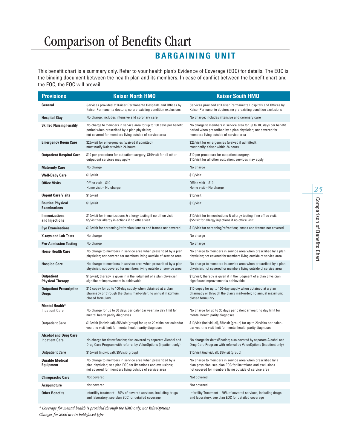### **BARGAINING UNIT**

This benefit chart is a summary only. Refer to your health plan's Evidence of Coverage (EOC) for details. The EOC is the binding document between the health plan and its members. In case of conflict between the benefit chart and the EOC, the EOC will prevail.

| <b>Provisions</b>                                     | <b>Kaiser North HMO</b>                                                                                                                                                             | <b>Kaiser South HMO</b>                                                                                                                                                            |  |
|-------------------------------------------------------|-------------------------------------------------------------------------------------------------------------------------------------------------------------------------------------|------------------------------------------------------------------------------------------------------------------------------------------------------------------------------------|--|
| General                                               | Services provided at Kaiser Permanente Hospitals and Offices by<br>Kaiser Permanente doctors; no pre-existing condition exclusions                                                  | Services provided at Kaiser Permanente Hospitals and Offices by<br>Kaiser Permanente doctors; no pre-existing condition exclusions                                                 |  |
| <b>Hospital Stay</b>                                  | No charge; includes intensive and coronary care                                                                                                                                     | No charge; includes intensive and coronary care                                                                                                                                    |  |
| <b>Skilled Nursing Facility</b>                       | No charge to members in service area for up to 100 days per benefit<br>period when prescribed by a plan physician;<br>not covered for members living outside of service area        | No charge to members in service area for up to 100 days per benefit<br>period when prescribed by a plan physician; not covered for<br>members living outside of service area       |  |
| <b>Emergency Room Care</b>                            | \$25/visit for emergencies (waived if admitted);<br>must notify Kaiser within 24 hours                                                                                              | \$25/visit for emergencies (waived if admitted);<br>must notify Kaiser within 24 hours                                                                                             |  |
| <b>Outpatient Hospital Care</b>                       | \$10 per procedure for outpatient surgery; \$10/visit for all other<br>outpatient services may apply                                                                                | \$10 per procedure for outpatient surgery;<br>\$10/visit for all other outpatient services may apply                                                                               |  |
| <b>Maternity Care</b>                                 | No charge                                                                                                                                                                           | No charge                                                                                                                                                                          |  |
| <b>Well-Baby Care</b>                                 | \$10/visit                                                                                                                                                                          | \$10/visit                                                                                                                                                                         |  |
| <b>Office Visits</b>                                  | Office visit - \$10<br>Home visit - No charge                                                                                                                                       | Office visit – \$10<br>Home visit - No charge                                                                                                                                      |  |
| <b>Urgent Care Visits</b>                             | \$10/visit                                                                                                                                                                          | \$10/visit                                                                                                                                                                         |  |
| <b>Routine Physical</b><br><b>Examinations</b>        | \$10/visit                                                                                                                                                                          | \$10/visit                                                                                                                                                                         |  |
| <b>Immunizations</b><br>and Injections                | \$10/visit for immunizations & allergy testing if no office visit;<br>\$5/visit for allergy injections if no office visit                                                           | \$10/visit for immunizations & allergy testing if no office visit;<br>\$5/visit for allergy injections if no office visit                                                          |  |
| <b>Eye Examinations</b>                               | \$10/visit for screening/refraction; lenses and frames not covered                                                                                                                  | \$10/visit for screening/refraction; lenses and frames not covered                                                                                                                 |  |
| <b>X-rays and Lab Tests</b>                           | No charge                                                                                                                                                                           | No charge                                                                                                                                                                          |  |
| <b>Pre-Admission Testing</b>                          | No charge                                                                                                                                                                           | No charge                                                                                                                                                                          |  |
| <b>Home Health Care</b>                               | No charge to members in service area when prescribed by a plan<br>physician; not covered for members living outside of service area                                                 | No charge to members in service area when prescribed by a plan<br>physician; not covered for members living outside of service area                                                |  |
| <b>Hospice Care</b>                                   | No charge to members in service area when prescribed by a plan<br>physician; not covered for members living outside of service area                                                 | No charge to members in service area when prescribed by a plan<br>physician; not covered for members living outside of service area                                                |  |
| <b>Outpatient</b><br><b>Physical Therapy</b>          | \$10/visit; therapy is given if in the judgment of a plan physician<br>significant improvement is achievable                                                                        | \$10/visit; therapy is given if in the judgment of a plan physician<br>significant improvement is achievable                                                                       |  |
| <b>Outpatient Prescription</b><br><b>Drugs</b>        | \$10 copay for up to 100-day supply when obtained at a plan<br>pharmacy or through the plan's mail-order; no annual maximum;<br>closed formulary                                    | \$10 copay for up to 100-day supply when obtained at a plan<br>pharmacy or through the plan's mail-order; no annual maximum;<br>closed formulary                                   |  |
| <b>Mental Health*</b><br><b>Inpatient Care</b>        | No charge for up to 30 days per calendar year; no day limit for<br>mental health parity diagnoses                                                                                   | No charge for up to 30 days per calendar year; no day limit for<br>mental health parity diagnoses                                                                                  |  |
| <b>Outpatient Care</b>                                | \$10/visit (individual), \$5/visit (group) for up to 20 visits per calendar<br>year; no visit limit for mental health parity diagnoses                                              | \$10/visit (individual), \$5/visit (group) for up to 20 visits per calen-<br>dar year; no visit limit for mental health parity diagnoses                                           |  |
| <b>Alcohol and Drug Care</b><br><b>Inpatient Care</b> | No charge for detoxification; also covered by separate Alcohol and<br>Drug Care Program with referral by ValueOptions (inpatient only)                                              | No charge for detoxification; also covered by separate Alcohol and<br>Drug Care Program with referral by ValueOptions (inpatient only)                                             |  |
| <b>Outpatient Care</b>                                | \$10/visit (individual); \$5/visit (group)                                                                                                                                          | \$10/visit (individual); \$5/visit (group)                                                                                                                                         |  |
| <b>Durable Medical</b><br><b>Equipment</b>            | No charge to members in service area when prescribed by a<br>plan physician; see plan EOC for limitations and exclusions;<br>not covered for members living outside of service area | No charge to members in service area when prescribed by a<br>plan physician; see plan EOC for limitations and exclusions<br>not covered for members living outside of service area |  |
| <b>Chiropractic Care</b>                              | Not covered                                                                                                                                                                         | Not covered                                                                                                                                                                        |  |
| <b>Acupuncture</b>                                    | Not covered                                                                                                                                                                         | Not covered                                                                                                                                                                        |  |
| <b>Other Benefits</b>                                 | Infertility treatment - 50% of covered services, including drugs<br>and laboratory; see plan EOC for detailed coverage                                                              | Infertility Treatment - 50% of covered services, including drugs<br>and laboratory; see plan EOC for detailed coverage                                                             |  |

*\* Coverage for mental health is provided through the HMO only, not ValueOptions Changes for 2006 are in bold-faced type*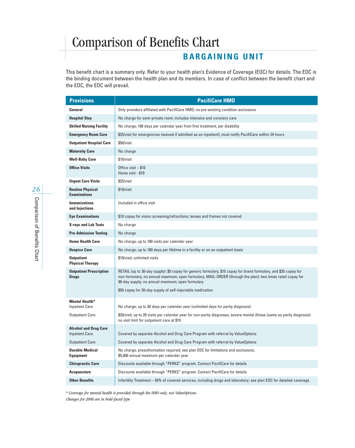### **BARGAINING UNIT**

This benefit chart is a summary only. Refer to your health plan's Evidence of Coverage (EOC) for details. The EOC is the binding document between the health plan and its members. In case of conflict between the benefit chart and the EOC, the EOC will prevail.

| <b>Provisions</b>                                     | <b>PacifiCare HMO</b>                                                                                                                                                                                                                                                                |
|-------------------------------------------------------|--------------------------------------------------------------------------------------------------------------------------------------------------------------------------------------------------------------------------------------------------------------------------------------|
| General                                               | Only providers affiliated with PacifiCare HMO; no pre-existing condition exclusions                                                                                                                                                                                                  |
| <b>Hospital Stay</b>                                  | No charge for semi-private room; includes intensive and coronary care                                                                                                                                                                                                                |
| <b>Skilled Nursing Facility</b>                       | No charge; 100 days per calendar year from first treatment, per disability                                                                                                                                                                                                           |
| <b>Emergency Room Care</b>                            | \$25/visit for emergencies (waived if admitted as an inpatient); must notify PacifiCare within 24 hours                                                                                                                                                                              |
| <b>Outpatient Hospital Care</b>                       | \$50/visit                                                                                                                                                                                                                                                                           |
| <b>Maternity Care</b>                                 | No charge                                                                                                                                                                                                                                                                            |
| <b>Well-Baby Care</b>                                 | \$10/visit                                                                                                                                                                                                                                                                           |
| <b>Office Visits</b>                                  | Office visit - \$10<br>Home visit - \$10                                                                                                                                                                                                                                             |
| <b>Urgent Care Visits</b>                             | \$25/visit                                                                                                                                                                                                                                                                           |
| <b>Routine Physical</b><br><b>Examinations</b>        | \$10/visit                                                                                                                                                                                                                                                                           |
| <b>Immunizations</b><br>and Injections                | Included in office visit                                                                                                                                                                                                                                                             |
| <b>Eye Examinations</b>                               | \$10 copay for vision screening/refractions; lenses and frames not covered                                                                                                                                                                                                           |
| <b>X-rays and Lab Tests</b>                           | No charge                                                                                                                                                                                                                                                                            |
| <b>Pre-Admission Testing</b>                          | No charge                                                                                                                                                                                                                                                                            |
| <b>Home Health Care</b>                               | No charge; up to 100 visits per calendar year                                                                                                                                                                                                                                        |
| <b>Hospice Care</b>                                   | No charge; up to 180 days per lifetime in a facility or on an outpatient basis                                                                                                                                                                                                       |
| <b>Outpatient</b><br><b>Physical Therapy</b>          | \$10/visit; unlimited visits                                                                                                                                                                                                                                                         |
| <b>Outpatient Prescription</b><br><b>Drugs</b>        | RETAIL (up to 30-day supply): \$5 copay for generic formulary, \$15 copay for brand formulary, and \$35 copay for<br>non-formulary; no annual maximum; open formulary; MAIL-ORDER (through the plan): two times retail copay for<br>90-day supply; no annual maximum; open formulary |
|                                                       | \$50 copay for 30-day supply of self-injectable medication                                                                                                                                                                                                                           |
| <b>Mental Health*</b><br><b>Inpatient Care</b>        | No charge; up to 30 days per calendar year (unlimited days for parity diagnosis)                                                                                                                                                                                                     |
| <b>Outpatient Care</b>                                | \$20/visit; up to 20 visits per calendar year for non-parity diagnoses; severe mental illness (same as parity diagnosis):<br>no visit limit for outpatient care at \$10                                                                                                              |
| <b>Alcohol and Drug Care</b><br><b>Inpatient Care</b> | Covered by separate Alcohol and Drug Care Program with referral by ValueOptions                                                                                                                                                                                                      |
| <b>Outpatient Care</b>                                | Covered by separate Alcohol and Drug Care Program with referral by ValueOptions                                                                                                                                                                                                      |
| <b>Durable Medical</b><br><b>Equipment</b>            | No charge; preauthorization required; see plan EOC for limitations and exclusions;<br>\$5,000 annual maximum per calendar year                                                                                                                                                       |
| <b>Chiropractic Care</b>                              | Discounts available through "PERKS" program. Contact PacifiCare for details                                                                                                                                                                                                          |
| <b>Acupuncture</b>                                    | Discounts available through "PERKS" program. Contact PacifiCare for details                                                                                                                                                                                                          |
| <b>Other Benefits</b>                                 | Infertility Treatment - 50% of covered services, including drugs and laboratory; see plan EOC for detailed coverage                                                                                                                                                                  |

*\* Coverage for mental health is provided through the HMO only, not ValueOptions Changes for 2006 are in bold-faced type*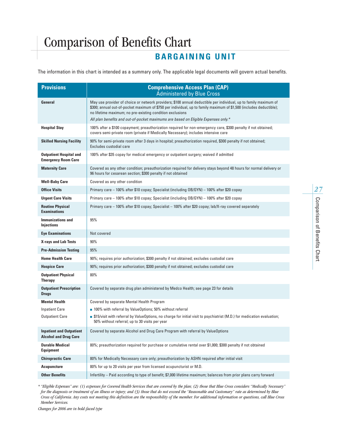### **BARGAINING UNIT**

The information in this chart is intended as a summary only. The applicable legal documents will govern actual benefits.

| <b>Provisions</b>                                               | <b>Comprehensive Access Plan (CAP)</b><br><b>Administered by Blue Cross</b>                                                                                                                                                                                                                          |
|-----------------------------------------------------------------|------------------------------------------------------------------------------------------------------------------------------------------------------------------------------------------------------------------------------------------------------------------------------------------------------|
| General                                                         | May use provider of choice or network providers; \$100 annual deductible per individual, up to family maximum of<br>\$300; annual out-of-pocket maximum of \$750 per individual, up to family maximum of \$1,500 (includes deductible);<br>no lifetime maximum; no pre-existing condition exclusions |
|                                                                 | All plan benefits and out-of-pocket maximums are based on Eligible Expenses only.*                                                                                                                                                                                                                   |
| <b>Hospital Stay</b>                                            | 100% after a \$100 copayment; preauthorization required for non-emergency care, \$300 penalty if not obtained;<br>covers semi-private room (private if Medically Necessary); includes intensive care                                                                                                 |
| <b>Skilled Nursing Facility</b>                                 | 90% for semi-private room after 3 days in hospital; preauthorization required, \$300 penalty if not obtained;<br>Excludes custodial care                                                                                                                                                             |
| <b>Outpatient Hospital and</b><br><b>Emergency Room Care</b>    | 100% after \$35 copay for medical emergency or outpatient surgery; waived if admitted                                                                                                                                                                                                                |
| <b>Maternity Care</b>                                           | Covered as any other condition; preauthorization required for delivery stays beyond 48 hours for normal delivery or<br>96 hours for cesarean section; \$300 penalty if not obtained                                                                                                                  |
| <b>Well-Baby Care</b>                                           | Covered as any other condition                                                                                                                                                                                                                                                                       |
| <b>Office Visits</b>                                            | Primary care - 100% after \$10 copay; Specialist (including OB/GYN) - 100% after \$20 copay                                                                                                                                                                                                          |
| <b>Urgent Care Visits</b>                                       | Primary care - 100% after \$10 copay; Specialist (including OB/GYN) - 100% after \$20 copay                                                                                                                                                                                                          |
| <b>Routine Physical</b><br><b>Examinations</b>                  | Primary care - 100% after \$10 copay; Specialist - 100% after \$20 copay; lab/X-ray covered separately                                                                                                                                                                                               |
| <b>Immunizations and</b><br><b>Injections</b>                   | 95%                                                                                                                                                                                                                                                                                                  |
| <b>Eye Examinations</b>                                         | Not covered                                                                                                                                                                                                                                                                                          |
| <b>X-rays and Lab Tests</b>                                     | 90%                                                                                                                                                                                                                                                                                                  |
| <b>Pre-Admission Testing</b>                                    | 95%                                                                                                                                                                                                                                                                                                  |
| <b>Home Health Care</b>                                         | 90%; requires prior authorization; \$300 penalty if not obtained; excludes custodial care                                                                                                                                                                                                            |
| <b>Hospice Care</b>                                             | 90%; requires prior authorization; \$300 penalty if not obtained; excludes custodial care                                                                                                                                                                                                            |
| <b>Outpatient Physical</b><br><b>Therapy</b>                    | 80%                                                                                                                                                                                                                                                                                                  |
| <b>Outpatient Prescription</b><br><b>Drugs</b>                  | Covered by separate drug plan administered by Medco Health; see page 23 for details                                                                                                                                                                                                                  |
| <b>Mental Health</b>                                            | Covered by separate Mental Health Program                                                                                                                                                                                                                                                            |
| <b>Inpatient Care</b>                                           | ■ 100% with referral by ValueOptions; 50% without referral                                                                                                                                                                                                                                           |
| <b>Outpatient Care</b>                                          | .515/visit with referral by ValueOptions, no charge for initial visit to psychiatrist (M.D.) for medication evaluation;<br>50% without referral; up to 30 visits per year                                                                                                                            |
| <b>Inpatient and Outpatient</b><br><b>Alcohol and Drug Care</b> | Covered by separate Alcohol and Drug Care Program with referral by ValueOptions                                                                                                                                                                                                                      |
| <b>Durable Medical</b><br><b>Equipment</b>                      | 80%; preauthorization required for purchase or cumulative rental over \$1,000; \$300 penalty if not obtained                                                                                                                                                                                         |
| <b>Chiropractic Care</b>                                        | 80% for Medically Necessary care only; preauthorization by ASHN required after initial visit                                                                                                                                                                                                         |
| <b>Acupuncture</b>                                              | 80% for up to 20 visits per year from licensed acupuncturist or M.D.                                                                                                                                                                                                                                 |
| <b>Other Benefits</b>                                           | Infertility - Paid according to type of benefit; \$7,000 lifetime maximum; balances from prior plans carry forward                                                                                                                                                                                   |

*\* "Eligible Expenses" are: (1) expenses for Covered Health Services that are covered by the plan; (2) those that Blue Cross considers "Medically Necessary" for the diagnosis or treatment of an illness or injury; and (3) those that do not exceed the "Reasonable and Customary" rate as determined by Blue Cross of California. Any costs not meeting this definition are the responsibility of the member. For additional information or questions, call Blue Cross Member Services.*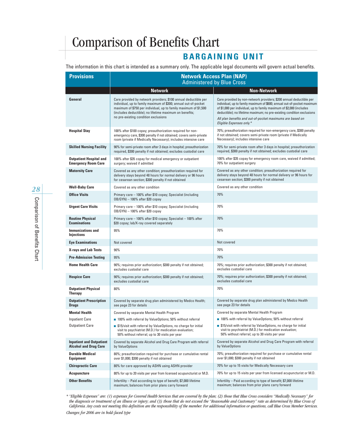### **BARGAINING UNIT**

The information in this chart is intended as a summary only. The applicable legal documents will govern actual benefits.

| <b>Provisions</b>                                               | <b>Network Access Plan (NAP)</b><br><b>Administered by Blue Cross</b>                                                                                                                                                                                                                                     |                                                                                                                                                                                                                                                                                                                                                                                           |  |
|-----------------------------------------------------------------|-----------------------------------------------------------------------------------------------------------------------------------------------------------------------------------------------------------------------------------------------------------------------------------------------------------|-------------------------------------------------------------------------------------------------------------------------------------------------------------------------------------------------------------------------------------------------------------------------------------------------------------------------------------------------------------------------------------------|--|
|                                                                 | <b>Network</b>                                                                                                                                                                                                                                                                                            | <b>Non-Network</b>                                                                                                                                                                                                                                                                                                                                                                        |  |
| General                                                         | Care provided by network providers; \$100 annual deductible per<br>individual, up to family maximum of \$300; annual out-of-pocket<br>maximum of \$750 per individual, up to family maximum of \$1,500<br>(includes deductible); no lifetime maximum on benefits;<br>no pre-existing condition exclusions | Care provided by non-network providers; \$200 annual deductible per<br>individual, up to family maximum of \$600; annual out-of-pocket maximum<br>of \$1,000 per individual, up to family maximum of \$2,000 (includes<br>deductible); no lifetime maximum; no pre-existing condition exclusions<br>All plan benefits and out-of-pocket maximums are based on<br>Eligible Expenses only.* |  |
| <b>Hospital Stay</b>                                            | 100% after \$100 copay; preauthorization required for non-<br>emergency care, \$300 penalty if not obtained; covers semi-private<br>room (private if Medically Necessary); includes intensive care                                                                                                        | 70%; preauthorization required for non-emergency care, \$300 penalty<br>if not obtained; covers semi-private room (private if Medically<br>Necessary); includes intensive care                                                                                                                                                                                                            |  |
| <b>Skilled Nursing Facility</b>                                 | 90% for semi-private room after 3 days in hospital; preauthorization<br>required, \$300 penalty if not obtained; excludes custodial care                                                                                                                                                                  | 70% for semi-private room after 3 days in hospital; preauthorization<br>required, \$300 penalty if not obtained; excludes custodial care                                                                                                                                                                                                                                                  |  |
| <b>Outpatient Hospital and</b><br><b>Emergency Room Care</b>    | 100% after \$35 copay for medical emergency or outpatient<br>surgery; waived if admitted                                                                                                                                                                                                                  | 100% after \$35 copay for emergency room care, waived if admitted;<br>70% for outpatient surgery                                                                                                                                                                                                                                                                                          |  |
| <b>Maternity Care</b>                                           | Covered as any other condition; preauthorization required for<br>delivery stays beyond 48 hours for normal delivery or 96 hours<br>for cesarean section; \$300 penalty if not obtained                                                                                                                    | Covered as any other condition; preauthorization required for<br>delivery stays beyond 48 hours for normal delivery or 96 hours for<br>cesarean section; \$300 penalty if not obtained                                                                                                                                                                                                    |  |
| <b>Well-Baby Care</b>                                           | Covered as any other condition                                                                                                                                                                                                                                                                            | Covered as any other condition                                                                                                                                                                                                                                                                                                                                                            |  |
| <b>Office Visits</b>                                            | Primary care - 100% after \$10 copay; Specialist (including<br>0B/GYN) - 100% after \$20 copay                                                                                                                                                                                                            | 70%                                                                                                                                                                                                                                                                                                                                                                                       |  |
| <b>Urgent Care Visits</b>                                       | Primary care - 100% after \$10 copay; Specialist (including<br>0B/GYN) - 100% after \$20 copay                                                                                                                                                                                                            | 70%                                                                                                                                                                                                                                                                                                                                                                                       |  |
| <b>Routine Physical</b><br><b>Examinations</b>                  | Primary care - 100% after \$10 copay; Specialist - 100% after<br>\$20 copay; lab/X-ray covered separately                                                                                                                                                                                                 | 70%                                                                                                                                                                                                                                                                                                                                                                                       |  |
| <b>Immunizations and</b><br>Injections                          | 95%                                                                                                                                                                                                                                                                                                       | 70%                                                                                                                                                                                                                                                                                                                                                                                       |  |
| <b>Eye Examinations</b>                                         | Not covered                                                                                                                                                                                                                                                                                               | Not covered                                                                                                                                                                                                                                                                                                                                                                               |  |
| <b>X-rays and Lab Tests</b>                                     | 90%                                                                                                                                                                                                                                                                                                       | 70%                                                                                                                                                                                                                                                                                                                                                                                       |  |
| <b>Pre-Admission Testing</b>                                    | 95%                                                                                                                                                                                                                                                                                                       | 70%                                                                                                                                                                                                                                                                                                                                                                                       |  |
| <b>Home Health Care</b>                                         | 90%; requires prior authorization; \$300 penalty if not obtained;<br>excludes custodial care                                                                                                                                                                                                              | 70%; requires prior authorization; \$300 penalty if not obtained;<br>excludes custodial care                                                                                                                                                                                                                                                                                              |  |
| <b>Hospice Care</b>                                             | 90%; requires prior authorization; \$300 penalty if not obtained;<br>excludes custodial care                                                                                                                                                                                                              | 70%; requires prior authorization; \$300 penalty if not obtained;<br>excludes custodial care                                                                                                                                                                                                                                                                                              |  |
| <b>Outpatient Physical</b><br>Therapy                           | 80%                                                                                                                                                                                                                                                                                                       | 70%                                                                                                                                                                                                                                                                                                                                                                                       |  |
| <b>Outpatient Prescription</b><br><b>Drugs</b>                  | Covered by separate drug plan administered by Medco Health;<br>see page 23 for details                                                                                                                                                                                                                    | Covered by separate drug plan administered by Medco Health<br>see page 23 for details                                                                                                                                                                                                                                                                                                     |  |
| <b>Mental Health</b>                                            | Covered by separate Mental Health Program                                                                                                                                                                                                                                                                 | Covered by separate Mental Health Program                                                                                                                                                                                                                                                                                                                                                 |  |
| <b>Inpatient Care</b>                                           | ■ 100% with referral by ValueOptions; 50% without referral                                                                                                                                                                                                                                                | ■ 100% with referral by ValueOptions; 50% without referral                                                                                                                                                                                                                                                                                                                                |  |
| <b>Outpatient Care</b>                                          | S15/visit with referral by ValueOptions, no charge for initial<br>visit to psychiatrist (M.D.) for medication evaluation;<br>50% without referral; up to 30 visits per year                                                                                                                               | S15/visit with referral by ValueOptions, no charge for initial<br>visit to psychiatrist (M.D.) for medication evaluation;<br>50% without referral; up to 30 visits per year                                                                                                                                                                                                               |  |
| <b>Inpatient and Outpatient</b><br><b>Alcohol and Drug Care</b> | Covered by separate Alcohol and Drug Care Program with referral<br>by ValueOptions                                                                                                                                                                                                                        | Covered by separate Alcohol and Drug Care Program with referral<br>by ValueOptions                                                                                                                                                                                                                                                                                                        |  |
| <b>Durable Medical</b><br>Equipment                             | 80%; preauthorization required for purchase or cumulative rental<br>over \$1,000; \$300 penalty if not obtained                                                                                                                                                                                           | 70%; preauthorization required for purchase or cumulative rental<br>over \$1,000; \$300 penalty if not obtained                                                                                                                                                                                                                                                                           |  |
| <b>Chiropractic Care</b>                                        | 80% for care approved by ASHN using ASHN provider                                                                                                                                                                                                                                                         | 70% for up to 15 visits for Medically Necessary care                                                                                                                                                                                                                                                                                                                                      |  |
| <b>Acupuncture</b>                                              | 80% for up to 20 visits per year from licensed acupuncturist or M.D.                                                                                                                                                                                                                                      | 70% for up to 15 visits per year from licensed acupuncturist or M.D.                                                                                                                                                                                                                                                                                                                      |  |
| <b>Other Benefits</b>                                           | Infertility - Paid according to type of benefit; \$7,000 lifetime<br>maximum; balances from prior plans carry forward                                                                                                                                                                                     | Infertility – Paid according to type of benefit; \$7,000 lifetime<br>maximum; balances from prior plans carry forward                                                                                                                                                                                                                                                                     |  |

*\* "Eligible Expenses" are: (1) expenses for Covered Health Services that are covered by the plan; (2) those that Blue Cross considers "Medically Necessary" for the diagnosis or treatment of an illness or injury; and (3) those that do not exceed the "Reasonable and Customary" rate as determined by Blue Cross of California. Any costs not meeting this definition are the responsibility of the member. For additional information or questions, call Blue Cross Member Services.*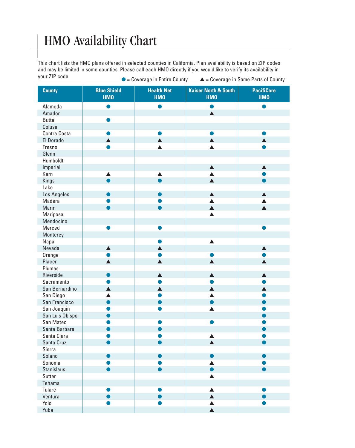### HMO Availability Chart

This chart lists the HMO plans offered in selected counties in California. Plan availability is based on ZIP codes and may be limited in some counties. Please call each HMO directly if you would like to verify its availability in your ZIP code. ● = Coverage in Entire County ▲ = Coverage in Some Parts of County

| <b>County</b>     | <b>Blue Shield</b><br><b>HMO</b> | <b>Health Net</b><br><b>HMO</b> | <b>Kaiser North &amp; South</b><br><b>HMO</b> | <b>PacifiCare</b><br><b>HMO</b> |
|-------------------|----------------------------------|---------------------------------|-----------------------------------------------|---------------------------------|
| Alameda           | n                                |                                 | O                                             |                                 |
| Amador            |                                  |                                 | $\blacktriangle$                              |                                 |
| <b>Butte</b>      |                                  |                                 |                                               |                                 |
| Colusa            |                                  |                                 |                                               |                                 |
| Contra Costa      |                                  |                                 |                                               |                                 |
| El Dorado         |                                  | $\blacktriangle$                | $\blacktriangle$                              |                                 |
| Fresno            |                                  | $\blacktriangle$                | $\blacktriangle$                              |                                 |
| Glenn             |                                  |                                 |                                               |                                 |
| Humboldt          |                                  |                                 |                                               |                                 |
| Imperial          |                                  |                                 | $\blacktriangle$                              | $\blacktriangle$                |
| Kern              |                                  | ▲                               |                                               |                                 |
| Kings             |                                  |                                 | $\blacktriangle$                              |                                 |
| Lake              |                                  |                                 |                                               |                                 |
| Los Angeles       |                                  |                                 | $\blacktriangle$                              | $\blacktriangle$                |
| Madera            |                                  |                                 | $\blacktriangle$                              | ▲                               |
| Marin             |                                  |                                 | $\blacktriangle$                              | $\blacktriangle$                |
| Mariposa          |                                  |                                 | $\blacktriangle$                              |                                 |
| Mendocino         |                                  |                                 |                                               |                                 |
| Merced            |                                  |                                 |                                               |                                 |
| Monterey          |                                  |                                 |                                               |                                 |
| Napa              |                                  |                                 | $\blacktriangle$                              |                                 |
| Nevada            | $\blacktriangle$                 | $\blacktriangle$                |                                               | $\blacktriangle$                |
| Orange            |                                  |                                 |                                               |                                 |
| Placer            | $\blacktriangle$                 | $\blacktriangle$                | $\blacktriangle$                              | $\blacktriangle$                |
| Plumas            |                                  |                                 |                                               |                                 |
| Riverside         |                                  | $\blacktriangle$                | $\blacktriangle$                              | $\blacktriangle$                |
| Sacramento        |                                  |                                 |                                               |                                 |
|                   |                                  | $\blacktriangle$                | $\blacktriangle$                              | $\blacktriangle$                |
| San Bernardino    |                                  |                                 |                                               |                                 |
| San Diego         |                                  |                                 | ▲                                             |                                 |
| San Francisco     |                                  |                                 |                                               |                                 |
| San Joaquin       |                                  |                                 | ▲                                             |                                 |
| San Luis Obispo   |                                  |                                 |                                               |                                 |
| San Mateo         |                                  |                                 |                                               |                                 |
| Santa Barbara     |                                  |                                 |                                               |                                 |
| Santa Clara       |                                  |                                 | ▲                                             |                                 |
| Santa Cruz        |                                  |                                 | $\blacktriangle$                              |                                 |
| Sierra            |                                  |                                 |                                               |                                 |
| Solano            |                                  |                                 |                                               |                                 |
| Sonoma            |                                  |                                 |                                               |                                 |
| <b>Stanislaus</b> |                                  |                                 |                                               |                                 |
| Sutter            |                                  |                                 |                                               |                                 |
| Tehama            |                                  |                                 |                                               |                                 |
| Tulare            |                                  |                                 | ▲                                             |                                 |
| Ventura           |                                  |                                 | $\blacktriangle$                              |                                 |
| Yolo              |                                  |                                 |                                               |                                 |
| Yuba              |                                  |                                 |                                               |                                 |